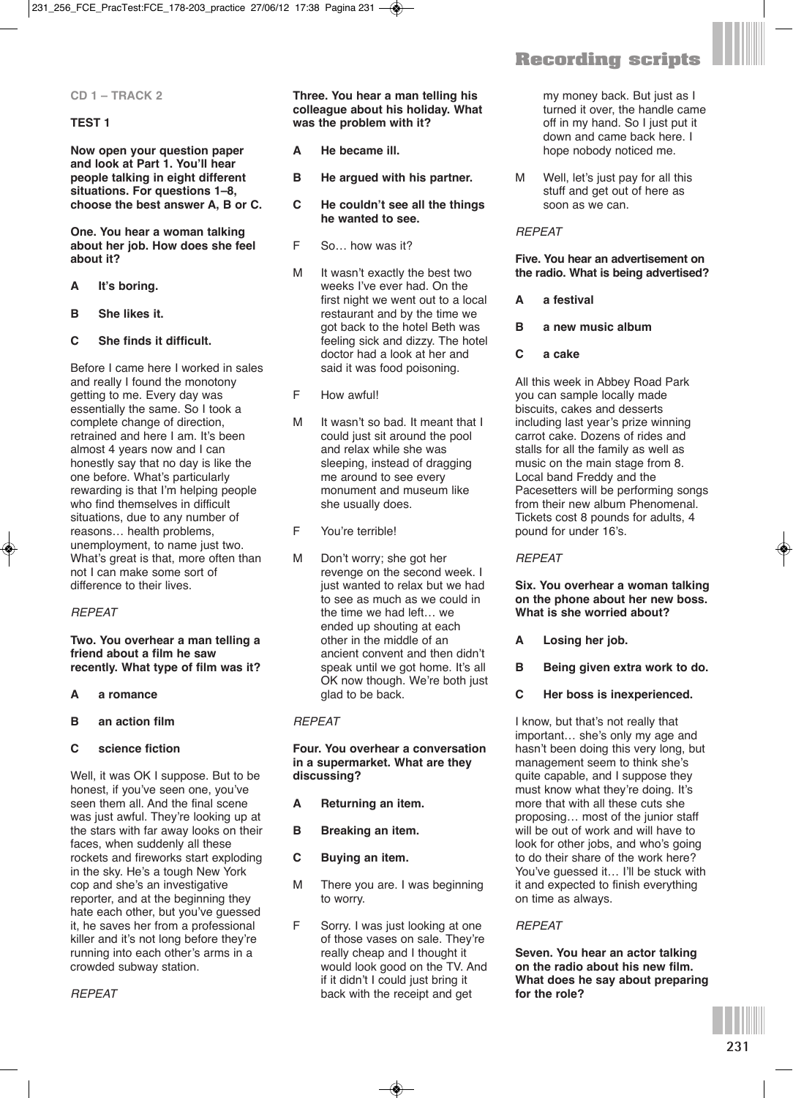### **TEST 1**

**Now open your question paper and look at Part 1. You'll hear people talking in eight different situations. For questions 1–8, choose the best answer A, B or C.**

**One. You hear a woman talking about her job. How does she feel about it?**

- **A It's boring.**
- **B She likes it.**

# **C She finds it difficult.**

Before I came here I worked in sales and really I found the monotony getting to me. Every day was essentially the same. So I took a complete change of direction, retrained and here I am. It's been almost 4 years now and I can honestly say that no day is like the one before. What's particularly rewarding is that I'm helping people who find themselves in difficult situations, due to any number of reasons… health problems, unemployment, to name just two. What's great is that, more often than not I can make some sort of difference to their lives.

#### **REPEAT**

#### **Two. You overhear a man telling a friend about a film he saw recently. What type of film was it?**

- **A a romance**
- **B an action film**

# **C science fiction**

Well, it was OK I suppose. But to be honest, if you've seen one, you've seen them all. And the final scene was just awful. They're looking up at the stars with far away looks on their faces, when suddenly all these rockets and fireworks start exploding in the sky. He's a tough New York cop and she's an investigative reporter, and at the beginning they hate each other, but you've guessed it, he saves her from a professional killer and it's not long before they're running into each other's arms in a crowded subway station.

- **A He became ill.**
- **B He argued with his partner.**
- **C He couldn't see all the things he wanted to see.**
- F So… how was it?
- M It wasn't exactly the best two weeks I've ever had. On the first night we went out to a local restaurant and by the time we got back to the hotel Beth was feeling sick and dizzy. The hotel doctor had a look at her and said it was food poisoning.
- F How awful!
- M It wasn't so bad. It meant that I could just sit around the pool and relax while she was sleeping, instead of dragging me around to see every monument and museum like she usually does.
- F You're terrible!
- M Don't worry; she got her revenge on the second week. I just wanted to relax but we had to see as much as we could in the time we had left… we ended up shouting at each other in the middle of an ancient convent and then didn't speak until we got home. It's all OK now though. We're both just glad to be back.

#### **REPEAT**

#### **Four. You overhear a conversation in a supermarket. What are they discussing?**

- **A Returning an item.**
- **B Breaking an item.**
- **C Buying an item.**
- M There you are. I was beginning to worry.
- F Sorry. I was just looking at one of those vases on sale. They're really cheap and I thought it would look good on the TV. And if it didn't I could just bring it back with the receipt and get

my money back. But just as I turned it over, the handle came off in my hand. So I just put it down and came back here. I hope nobody noticed me.

M Well, let's just pay for all this stuff and get out of here as soon as we can.

#### REPEAT

### **Five. You hear an advertisement on the radio. What is being advertised?**

- **A a festival**
- **B a new music album**
- **C a cake**

All this week in Abbey Road Park you can sample locally made biscuits, cakes and desserts including last year's prize winning carrot cake. Dozens of rides and stalls for all the family as well as music on the main stage from 8. Local band Freddy and the Pacesetters will be performing songs from their new album Phenomenal. Tickets cost 8 pounds for adults, 4 pound for under 16's.

# **REPEAT**

**Six. You overhear a woman talking on the phone about her new boss. What is she worried about?**

- **A Losing her job.**
- **B Being given extra work to do.**
- **C Her boss is inexperienced.**

I know, but that's not really that important… she's only my age and hasn't been doing this very long, but management seem to think she's quite capable, and I suppose they must know what they're doing. It's more that with all these cuts she proposing… most of the junior staff will be out of work and will have to look for other jobs, and who's going to do their share of the work here? You've guessed it... I'll be stuck with it and expected to finish everything on time as always.

#### REPEAT

**Seven. You hear an actor talking on the radio about his new film. What does he say about preparing for the role?**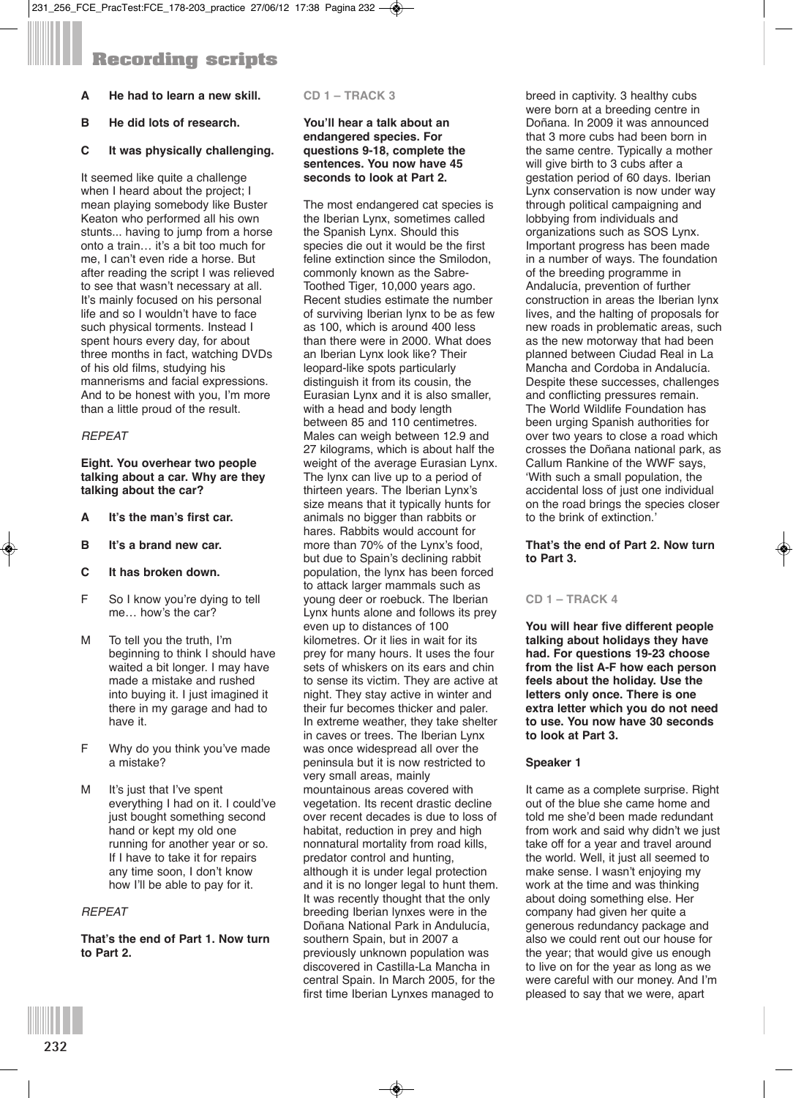**A He had to learn a new skill.**

**B He did lots of research.**

# **C It was physically challenging.**

It seemed like quite a challenge when I heard about the project; I mean playing somebody like Buster Keaton who performed all his own stunts... having to jump from a horse onto a train… it's a bit too much for me, I can't even ride a horse. But after reading the script I was relieved to see that wasn't necessary at all. It's mainly focused on his personal life and so I wouldn't have to face such physical torments. Instead I spent hours every day, for about three months in fact, watching DVDs of his old films, studying his mannerisms and facial expressions. And to be honest with you, I'm more than a little proud of the result.

# **REPEAT**

# **Eight. You overhear two people talking about a car. Why are they talking about the car?**

- **A It's the man's first car.**
- **B It's a brand new car.**
- **C It has broken down.**
- F So I know you're dying to tell me… how's the car?
- M To tell you the truth, I'm beginning to think I should have waited a bit longer. I may have made a mistake and rushed into buying it. I just imagined it there in my garage and had to have it.
- F Why do you think you've made a mistake?
- M It's just that I've spent everything I had on it. I could've just bought something second hand or kept my old one running for another year or so. If I have to take it for repairs any time soon, I don't know how I'll be able to pay for it.

# **REPEAT**

# **That's the end of Part 1. Now turn to Part 2.**

**CD 1 – TRACK 3**

#### **You'll hear a talk about an endangered species. For questions 9-18, complete the sentences. You now have 45 seconds to look at Part 2.**

The most endangered cat species is the Iberian Lynx, sometimes called the Spanish Lynx. Should this species die out it would be the first feline extinction since the Smilodon, commonly known as the Sabre-Toothed Tiger, 10,000 years ago. Recent studies estimate the number of surviving Iberian lynx to be as few as 100, which is around 400 less than there were in 2000. What does an Iberian Lynx look like? Their leopard-like spots particularly distinguish it from its cousin, the Eurasian Lynx and it is also smaller, with a head and body length between 85 and 110 centimetres. Males can weigh between 12.9 and 27 kilograms, which is about half the weight of the average Eurasian Lynx. The lynx can live up to a period of thirteen years. The Iberian Lynx's size means that it typically hunts for animals no bigger than rabbits or hares. Rabbits would account for more than 70% of the Lynx's food, but due to Spain's declining rabbit population, the lynx has been forced to attack larger mammals such as young deer or roebuck. The Iberian Lynx hunts alone and follows its prey even up to distances of 100 kilometres. Or it lies in wait for its prey for many hours. It uses the four sets of whiskers on its ears and chin to sense its victim. They are active at night. They stay active in winter and their fur becomes thicker and paler. In extreme weather, they take shelter in caves or trees. The Iberian Lynx was once widespread all over the peninsula but it is now restricted to very small areas, mainly mountainous areas covered with vegetation. Its recent drastic decline over recent decades is due to loss of habitat, reduction in prey and high nonnatural mortality from road kills, predator control and hunting, although it is under legal protection and it is no longer legal to hunt them. It was recently thought that the only breeding Iberian lynxes were in the Doñana National Park in Andulucía, southern Spain, but in 2007 a previously unknown population was discovered in Castilla-La Mancha in central Spain. In March 2005, for the first time Iberian Lynxes managed to

breed in captivity. 3 healthy cubs were born at a breeding centre in Doñana. In 2009 it was announced that 3 more cubs had been born in the same centre. Typically a mother will give birth to 3 cubs after a gestation period of 60 days. Iberian Lynx conservation is now under way through political campaigning and lobbying from individuals and organizations such as SOS Lynx. Important progress has been made in a number of ways. The foundation of the breeding programme in Andalucía, prevention of further construction in areas the Iberian lynx lives, and the halting of proposals for new roads in problematic areas, such as the new motorway that had been planned between Ciudad Real in La Mancha and Cordoba in Andalucía. Despite these successes, challenges and conflicting pressures remain. The World Wildlife Foundation has been urging Spanish authorities for over two years to close a road which crosses the Doñana national park, as Callum Rankine of the WWF says, 'With such a small population, the accidental loss of just one individual on the road brings the species closer to the brink of extinction.'

#### **That's the end of Part 2. Now turn to Part 3.**

# **CD 1 – TRACK 4**

**You will hear five different people talking about holidays they have had. For questions 19-23 choose from the list A-F how each person feels about the holiday. Use the letters only once. There is one extra letter which you do not need to use. You now have 30 seconds to look at Part 3.**

# **Speaker 1**

It came as a complete surprise. Right out of the blue she came home and told me she'd been made redundant from work and said why didn't we just take off for a year and travel around the world. Well, it just all seemed to make sense. I wasn't enjoying my work at the time and was thinking about doing something else. Her company had given her quite a generous redundancy package and also we could rent out our house for the year; that would give us enough to live on for the year as long as we were careful with our money. And I'm pleased to say that we were, apart

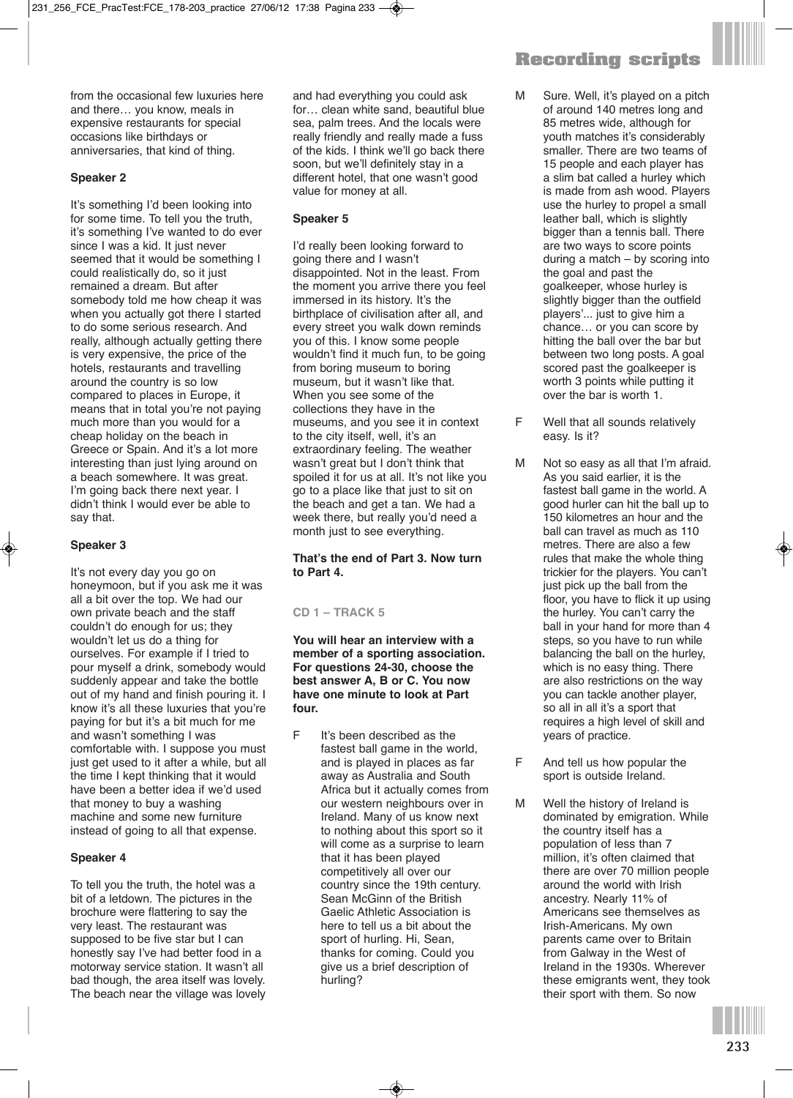from the occasional few luxuries here and there… you know, meals in expensive restaurants for special occasions like birthdays or anniversaries, that kind of thing.

### **Speaker 2**

It's something I'd been looking into for some time. To tell you the truth, it's something I've wanted to do ever since I was a kid. It just never seemed that it would be something I could realistically do, so it just remained a dream. But after somebody told me how cheap it was when you actually got there I started to do some serious research. And really, although actually getting there is very expensive, the price of the hotels, restaurants and travelling around the country is so low compared to places in Europe, it means that in total you're not paying much more than you would for a cheap holiday on the beach in Greece or Spain. And it's a lot more interesting than just lying around on a beach somewhere. It was great. I'm going back there next year. I didn't think I would ever be able to say that.

#### **Speaker 3**

It's not every day you go on honeymoon, but if you ask me it was all a bit over the top. We had our own private beach and the staff couldn't do enough for us; they wouldn't let us do a thing for ourselves. For example if I tried to pour myself a drink, somebody would suddenly appear and take the bottle out of my hand and finish pouring it. I know it's all these luxuries that you're paying for but it's a bit much for me and wasn't something I was comfortable with. I suppose you must just get used to it after a while, but all the time I kept thinking that it would have been a better idea if we'd used that money to buy a washing machine and some new furniture instead of going to all that expense.

#### **Speaker 4**

To tell you the truth, the hotel was a bit of a letdown. The pictures in the brochure were flattering to say the very least. The restaurant was supposed to be five star but I can honestly say I've had better food in a motorway service station. It wasn't all bad though, the area itself was lovely. The beach near the village was lovely and had everything you could ask for… clean white sand, beautiful blue sea, palm trees. And the locals were really friendly and really made a fuss of the kids. I think we'll go back there soon, but we'll definitely stay in a different hotel, that one wasn't good value for money at all.

#### **Speaker 5**

I'd really been looking forward to going there and I wasn't disappointed. Not in the least. From the moment you arrive there you feel immersed in its history. It's the birthplace of civilisation after all, and every street you walk down reminds you of this. I know some people wouldn't find it much fun, to be going from boring museum to boring museum, but it wasn't like that. When you see some of the collections they have in the museums, and you see it in context to the city itself, well, it's an extraordinary feeling. The weather wasn't great but I don't think that spoiled it for us at all. It's not like you go to a place like that just to sit on the beach and get a tan. We had a week there, but really you'd need a month just to see everything.

### **That's the end of Part 3. Now turn to Part 4.**

#### **CD 1 – TRACK 5**

**You will hear an interview with a member of a sporting association. For questions 24-30, choose the best answer A, B or C. You now have one minute to look at Part four.**

F It's been described as the fastest ball game in the world, and is played in places as far away as Australia and South Africa but it actually comes from our western neighbours over in Ireland. Many of us know next to nothing about this sport so it will come as a surprise to learn that it has been played competitively all over our country since the 19th century. Sean McGinn of the British Gaelic Athletic Association is here to tell us a bit about the sport of hurling. Hi, Sean, thanks for coming. Could you give us a brief description of hurling?

- M Sure. Well, it's played on a pitch of around 140 metres long and 85 metres wide, although for youth matches it's considerably smaller. There are two teams of 15 people and each player has a slim bat called a hurley which is made from ash wood. Players use the hurley to propel a small leather ball, which is slightly bigger than a tennis ball. There are two ways to score points during a match – by scoring into the goal and past the goalkeeper, whose hurley is slightly bigger than the outfield players'... just to give him a chance… or you can score by hitting the ball over the bar but between two long posts. A goal scored past the goalkeeper is worth 3 points while putting it over the bar is worth 1.
- F Well that all sounds relatively easy. Is it?
- M Not so easy as all that I'm afraid. As you said earlier, it is the fastest ball game in the world. A good hurler can hit the ball up to 150 kilometres an hour and the ball can travel as much as 110 metres. There are also a few rules that make the whole thing trickier for the players. You can't just pick up the ball from the floor, you have to flick it up using the hurley. You can't carry the ball in your hand for more than 4 steps, so you have to run while balancing the ball on the hurley, which is no easy thing. There are also restrictions on the way you can tackle another player, so all in all it's a sport that requires a high level of skill and years of practice.
- F And tell us how popular the sport is outside Ireland.
- M Well the history of Ireland is dominated by emigration. While the country itself has a population of less than 7 million, it's often claimed that there are over 70 million people around the world with Irish ancestry. Nearly 11% of Americans see themselves as Irish-Americans. My own parents came over to Britain from Galway in the West of Ireland in the 1930s. Wherever these emigrants went, they took their sport with them. So now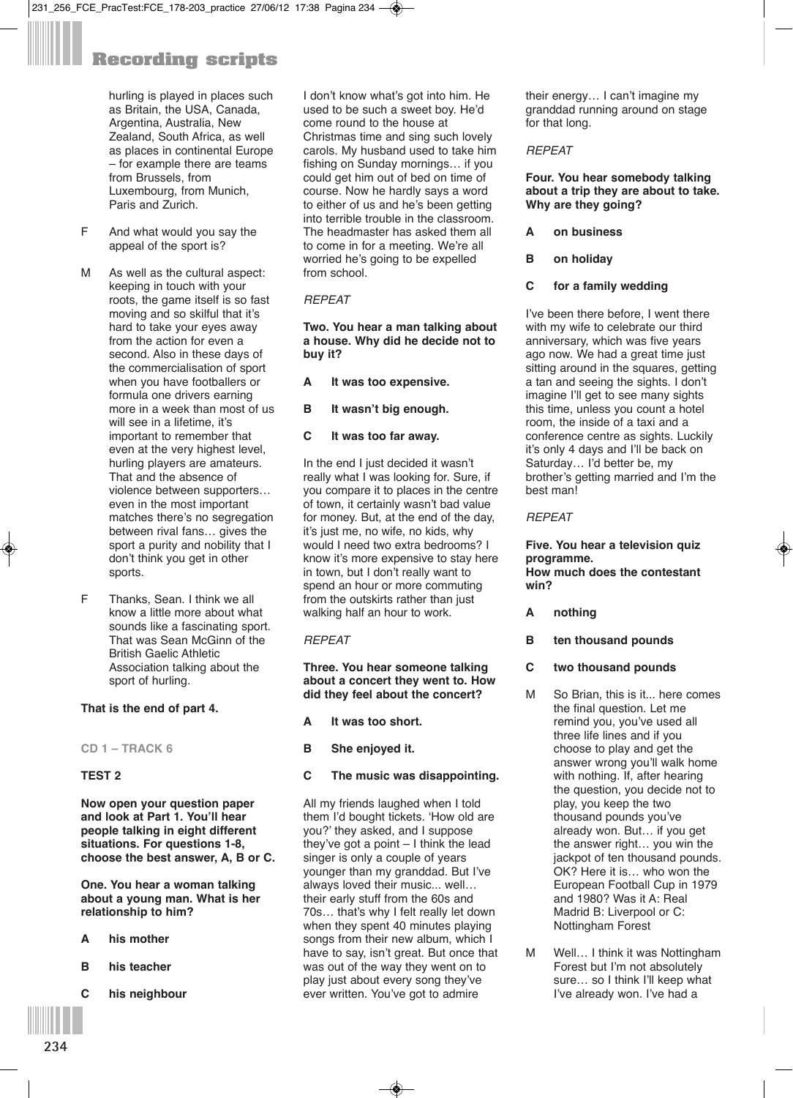hurling is played in places such as Britain, the USA, Canada, Argentina, Australia, New Zealand, South Africa, as well as places in continental Europe – for example there are teams from Brussels, from Luxembourg, from Munich, Paris and Zurich.

- F And what would you say the appeal of the sport is?
- M As well as the cultural aspect: keeping in touch with your roots, the game itself is so fast moving and so skilful that it's hard to take your eyes away from the action for even a second. Also in these days of the commercialisation of sport when you have footballers or formula one drivers earning more in a week than most of us will see in a lifetime, it's important to remember that even at the very highest level, hurling players are amateurs. That and the absence of violence between supporters… even in the most important matches there's no segregation between rival fans… gives the sport a purity and nobility that I don't think you get in other sports.
- F Thanks, Sean. I think we all know a little more about what sounds like a fascinating sport. That was Sean McGinn of the British Gaelic Athletic Association talking about the sport of hurling.

# **That is the end of part 4.**

# **CD 1 – TRACK 6**

# **TEST 2**

**Now open your question paper and look at Part 1. You'll hear people talking in eight different situations. For questions 1-8, choose the best answer, A, B or C.**

**One. You hear a woman talking about a young man. What is her relationship to him?**

- **A his mother**
- **B his teacher**
- **C his neighbour**

I don't know what's got into him. He used to be such a sweet boy. He'd come round to the house at Christmas time and sing such lovely carols. My husband used to take him fishing on Sunday mornings… if you could get him out of bed on time of course. Now he hardly says a word to either of us and he's been getting into terrible trouble in the classroom. The headmaster has asked them all to come in for a meeting. We're all worried he's going to be expelled from school.

# **REPEAT**

**Two. You hear a man talking about a house. Why did he decide not to buy it?**

- **A It was too expensive.**
- **B It wasn't big enough.**
- **C It was too far away.**

In the end I just decided it wasn't really what I was looking for. Sure, if you compare it to places in the centre of town, it certainly wasn't bad value for money. But, at the end of the day, it's just me, no wife, no kids, why would I need two extra bedrooms? I know it's more expensive to stay here in town, but I don't really want to spend an hour or more commuting from the outskirts rather than just walking half an hour to work.

# **REPEAT**

**Three. You hear someone talking about a concert they went to. How did they feel about the concert?**

- **A It was too short.**
- **B She enjoyed it.**

# **C The music was disappointing.**

All my friends laughed when I told them I'd bought tickets. 'How old are you?' they asked, and I suppose they've got a point – I think the lead singer is only a couple of years younger than my granddad. But I've always loved their music... well… their early stuff from the 60s and 70s… that's why I felt really let down when they spent 40 minutes playing songs from their new album, which I have to say, isn't great. But once that was out of the way they went on to play just about every song they've ever written. You've got to admire

their energy… I can't imagine my granddad running around on stage for that long.

# **REPEAT**

**Four. You hear somebody talking about a trip they are about to take. Why are they going?**

- **A on business**
- **B on holiday**
- **C for a family wedding**

I've been there before, I went there with my wife to celebrate our third anniversary, which was five years ago now. We had a great time just sitting around in the squares, getting a tan and seeing the sights. I don't imagine I'll get to see many sights this time, unless you count a hotel room, the inside of a taxi and a conference centre as sights. Luckily it's only 4 days and I'll be back on Saturday… I'd better be, my brother's getting married and I'm the best man!

# **REPEAT**

#### **Five. You hear a television quiz programme. How much does the contestant win?**

- **A nothing**
- **B ten thousand pounds**
- **C two thousand pounds**
- M So Brian, this is it... here comes the final question. Let me remind you, you've used all three life lines and if you choose to play and get the answer wrong you'll walk home with nothing. If, after hearing the question, you decide not to play, you keep the two thousand pounds you've already won. But… if you get the answer right… you win the jackpot of ten thousand pounds. OK? Here it is… who won the European Football Cup in 1979 and 1980? Was it A: Real Madrid B: Liverpool or C: Nottingham Forest
- M Well… I think it was Nottingham Forest but I'm not absolutely sure... so I think I'll keep what I've already won. I've had a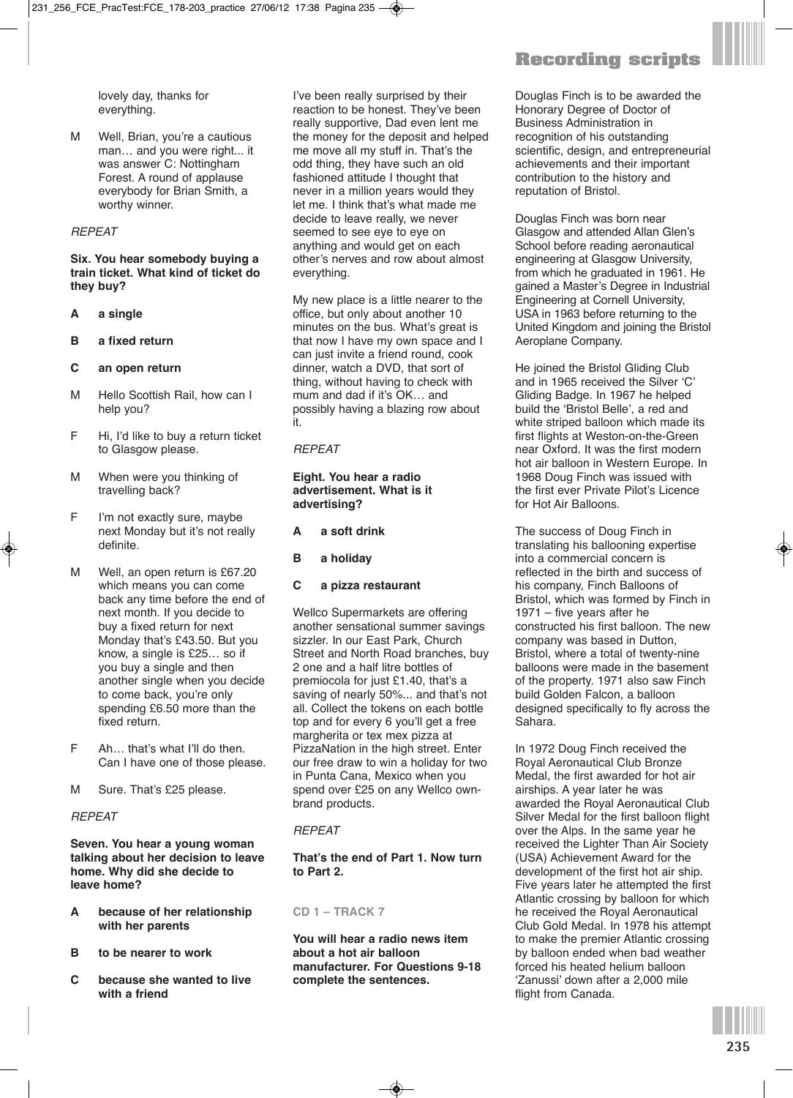lovely day, thanks for everything.

M Well, Brian, you're a cautious man… and you were right... it was answer C: Nottingham Forest. A round of applause everybody for Brian Smith, a worthy winner.

#### **REPEAT**

#### **Six. You hear somebody buying a train ticket. What kind of ticket do they buy?**

- **A a single**
- **B a fixed return**
- **C an open return**
- M Hello Scottish Rail, how can I help you?
- F Hi, I'd like to buy a return ticket to Glasgow please.
- M When were you thinking of travelling back?
- F I'm not exactly sure, maybe next Monday but it's not really definite.
- M Well, an open return is £67.20 which means you can come back any time before the end of next month. If you decide to buy a fixed return for next Monday that's £43.50. But you know, a single is £25… so if you buy a single and then another single when you decide to come back, you're only spending £6.50 more than the fixed return.
- F Ah… that's what I'll do then. Can I have one of those please.
- M Sure. That's £25 please.

#### **REPEAT**

#### **Seven. You hear a young woman talking about her decision to leave home. Why did she decide to leave home?**

- **A because of her relationship with her parents**
- **B to be nearer to work**
- **C because she wanted to live with a friend**

I've been really surprised by their reaction to be honest. They've been really supportive, Dad even lent me the money for the deposit and helped me move all my stuff in. That's the odd thing, they have such an old fashioned attitude I thought that never in a million years would they let me. I think that's what made me decide to leave really, we never seemed to see eye to eye on anything and would get on each other's nerves and row about almost everything.

My new place is a little nearer to the office, but only about another 10 minutes on the bus. What's great is that now I have my own space and I can just invite a friend round, cook dinner, watch a DVD, that sort of thing, without having to check with mum and dad if it's OK… and possibly having a blazing row about it.

**REPEAT** 

#### **Eight. You hear a radio advertisement. What is it advertising?**

- **A a soft drink**
- **B a holiday**
- **C a pizza restaurant**

Wellco Supermarkets are offering another sensational summer savings sizzler. In our East Park, Church Street and North Road branches, buy 2 one and a half litre bottles of premiocola for just £1.40, that's a saving of nearly 50%... and that's not all. Collect the tokens on each bottle top and for every 6 you'll get a free margherita or tex mex pizza at PizzaNation in the high street. Enter our free draw to win a holiday for two in Punta Cana, Mexico when you spend over £25 on any Wellco ownbrand products.

#### **REPEAT**

**That's the end of Part 1. Now turn to Part 2.**

#### **CD 1 – TRACK 7**

**You will hear a radio news item about a hot air balloon manufacturer. For Questions 9-18 complete the sentences.**

Douglas Finch is to be awarded the Honorary Degree of Doctor of Business Administration in recognition of his outstanding scientific, design, and entrepreneurial achievements and their important contribution to the history and reputation of Bristol.

Douglas Finch was born near Glasgow and attended Allan Glen's School before reading aeronautical engineering at Glasgow University, from which he graduated in 1961. He gained a Master's Degree in Industrial Engineering at Cornell University, USA in 1963 before returning to the United Kingdom and joining the Bristol Aeroplane Company.

He joined the Bristol Gliding Club and in 1965 received the Silver 'C' Gliding Badge. In 1967 he helped build the 'Bristol Belle', a red and white striped balloon which made its first flights at Weston-on-the-Green near Oxford. It was the first modern hot air balloon in Western Europe. In 1968 Doug Finch was issued with the first ever Private Pilot's Licence for Hot Air Balloons.

The success of Doug Finch in translating his ballooning expertise into a commercial concern is reflected in the birth and success of his company, Finch Balloons of Bristol, which was formed by Finch in 1971 – five years after he constructed his first balloon. The new company was based in Dutton, Bristol, where a total of twenty-nine balloons were made in the basement of the property. 1971 also saw Finch build Golden Falcon, a balloon designed specifically to fly across the Sahara.

In 1972 Doug Finch received the Royal Aeronautical Club Bronze Medal, the first awarded for hot air airships. A year later he was awarded the Royal Aeronautical Club Silver Medal for the first balloon flight over the Alps. In the same year he received the Lighter Than Air Society (USA) Achievement Award for the development of the first hot air ship. Five years later he attempted the first Atlantic crossing by balloon for which he received the Royal Aeronautical Club Gold Medal. In 1978 his attempt to make the premier Atlantic crossing by balloon ended when bad weather forced his heated helium balloon 'Zanussi' down after a 2,000 mile flight from Canada.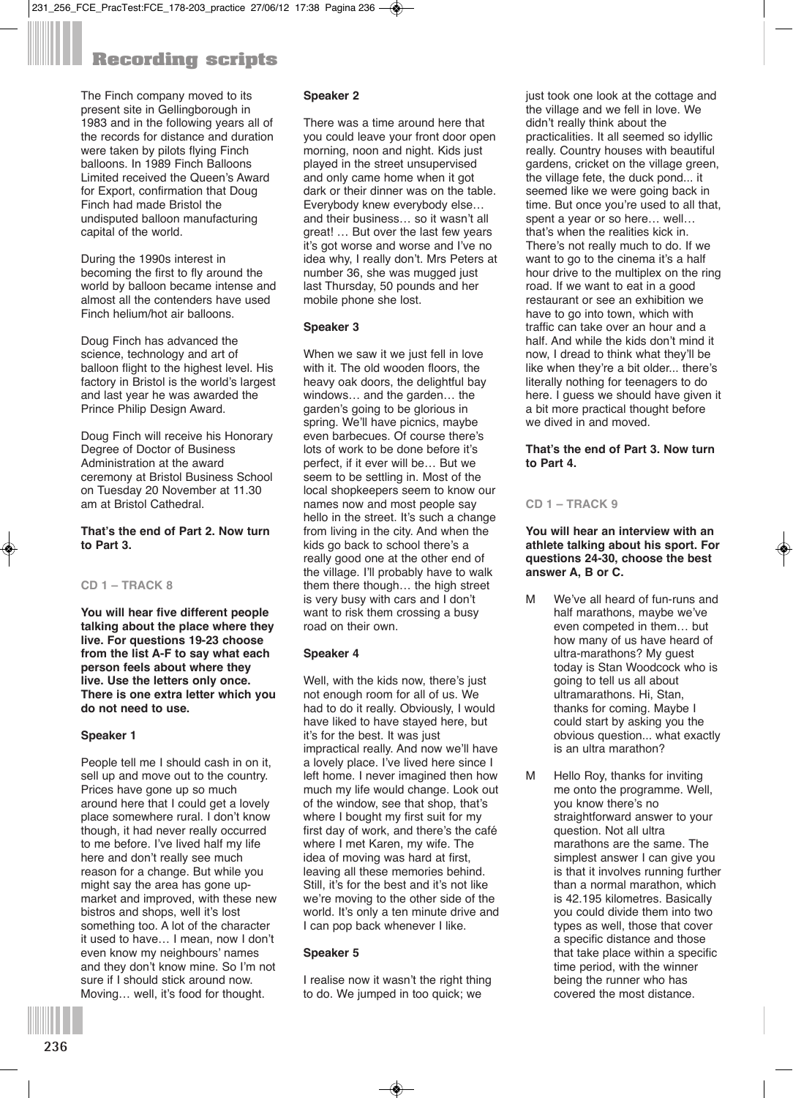The Finch company moved to its present site in Gellingborough in 1983 and in the following years all of the records for distance and duration were taken by pilots flying Finch balloons. In 1989 Finch Balloons Limited received the Queen's Award for Export, confirmation that Doug Finch had made Bristol the undisputed balloon manufacturing capital of the world.

During the 1990s interest in becoming the first to fly around the world by balloon became intense and almost all the contenders have used Finch helium/hot air balloons.

Doug Finch has advanced the science, technology and art of balloon flight to the highest level. His factory in Bristol is the world's largest and last year he was awarded the Prince Philip Design Award.

Doug Finch will receive his Honorary Degree of Doctor of Business Administration at the award ceremony at Bristol Business School on Tuesday 20 November at 11.30 am at Bristol Cathedral.

### **That's the end of Part 2. Now turn to Part 3.**

# **CD 1 – TRACK 8**

**You will hear five different people talking about the place where they live. For questions 19-23 choose from the list A-F to say what each person feels about where they live. Use the letters only once. There is one extra letter which you do not need to use.**

#### **Speaker 1**

People tell me I should cash in on it, sell up and move out to the country. Prices have gone up so much around here that I could get a lovely place somewhere rural. I don't know though, it had never really occurred to me before. I've lived half my life here and don't really see much reason for a change. But while you might say the area has gone upmarket and improved, with these new bistros and shops, well it's lost something too. A lot of the character it used to have… I mean, now I don't even know my neighbours' names and they don't know mine. So I'm not sure if I should stick around now. Moving… well, it's food for thought.

### **Speaker 2**

There was a time around here that you could leave your front door open morning, noon and night. Kids just played in the street unsupervised and only came home when it got dark or their dinner was on the table. Everybody knew everybody else… and their business… so it wasn't all great! … But over the last few years it's got worse and worse and I've no idea why, I really don't. Mrs Peters at number 36, she was mugged just last Thursday, 50 pounds and her mobile phone she lost.

# **Speaker 3**

When we saw it we just fell in love with it. The old wooden floors, the heavy oak doors, the delightful bay windows… and the garden… the garden's going to be glorious in spring. We'll have picnics, maybe even barbecues. Of course there's lots of work to be done before it's perfect, if it ever will be… But we seem to be settling in. Most of the local shopkeepers seem to know our names now and most people say hello in the street. It's such a change from living in the city. And when the kids go back to school there's a really good one at the other end of the village. I'll probably have to walk them there though… the high street is very busy with cars and I don't want to risk them crossing a busy road on their own.

# **Speaker 4**

Well, with the kids now, there's just not enough room for all of us. We had to do it really. Obviously, I would have liked to have stayed here, but it's for the best. It was just impractical really. And now we'll have a lovely place. I've lived here since I left home. I never imagined then how much my life would change. Look out of the window, see that shop, that's where I bought my first suit for my first day of work, and there's the café where I met Karen, my wife. The idea of moving was hard at first, leaving all these memories behind. Still, it's for the best and it's not like we're moving to the other side of the world. It's only a ten minute drive and I can pop back whenever I like.

# **Speaker 5**

I realise now it wasn't the right thing to do. We jumped in too quick; we

just took one look at the cottage and the village and we fell in love. We didn't really think about the practicalities. It all seemed so idyllic really. Country houses with beautiful gardens, cricket on the village green, the village fete, the duck pond... it seemed like we were going back in time. But once you're used to all that, spent a year or so here… well… that's when the realities kick in. There's not really much to do. If we want to go to the cinema it's a half hour drive to the multiplex on the ring road. If we want to eat in a good restaurant or see an exhibition we have to go into town, which with traffic can take over an hour and a half. And while the kids don't mind it now, I dread to think what they'll be like when they're a bit older... there's literally nothing for teenagers to do here. I guess we should have given it a bit more practical thought before we dived in and moved.

### **That's the end of Part 3. Now turn to Part 4.**

# **CD 1 – TRACK 9**

### **You will hear an interview with an athlete talking about his sport. For questions 24-30, choose the best answer A, B or C.**

- M We've all heard of fun-runs and half marathons, maybe we've even competed in them… but how many of us have heard of ultra-marathons? My guest today is Stan Woodcock who is going to tell us all about ultramarathons. Hi, Stan, thanks for coming. Maybe I could start by asking you the obvious question... what exactly is an ultra marathon?
- M Hello Roy, thanks for inviting me onto the programme. Well, you know there's no straightforward answer to your question. Not all ultra marathons are the same. The simplest answer I can give you is that it involves running further than a normal marathon, which is 42.195 kilometres. Basically you could divide them into two types as well, those that cover a specific distance and those that take place within a specific time period, with the winner being the runner who has covered the most distance.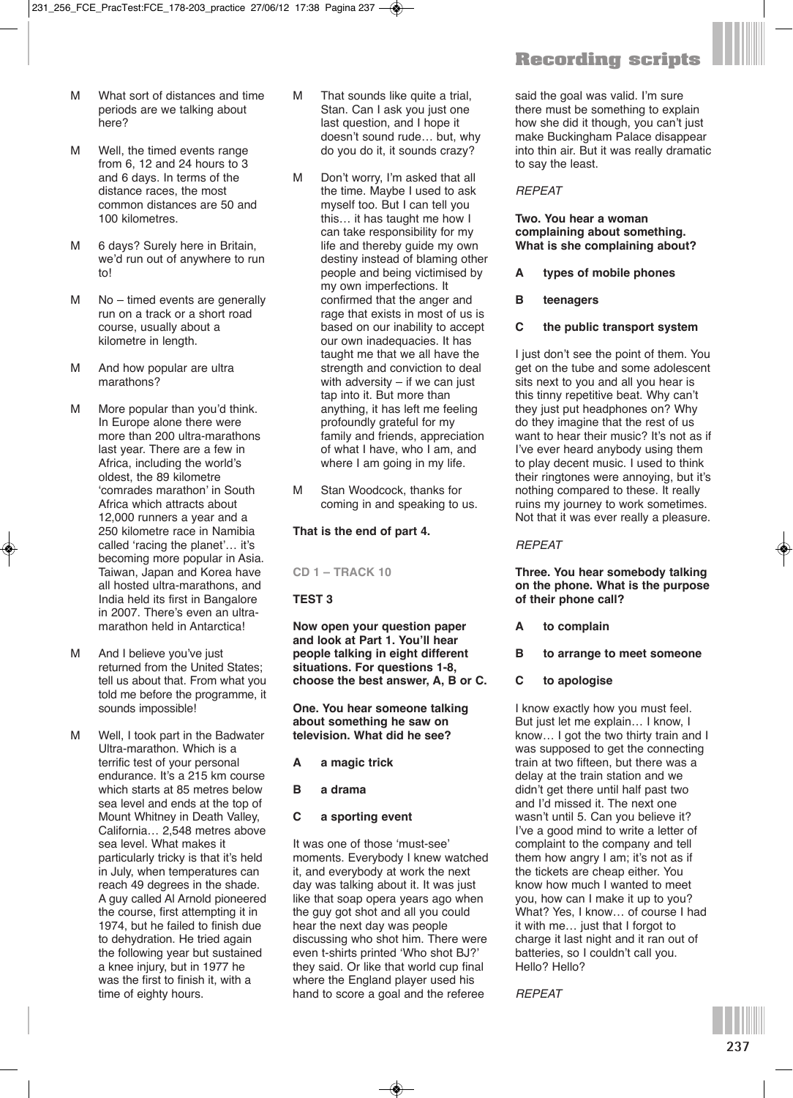- M What sort of distances and time periods are we talking about here?
- M Well, the timed events range from 6, 12 and 24 hours to 3 and 6 days. In terms of the distance races, the most common distances are 50 and 100 kilometres.
- M 6 days? Surely here in Britain, we'd run out of anywhere to run to!
- M No timed events are generally run on a track or a short road course, usually about a kilometre in length.
- M And how popular are ultra marathons?
- M More popular than you'd think. In Europe alone there were more than 200 ultra-marathons last year. There are a few in Africa, including the world's oldest, the 89 kilometre 'comrades marathon' in South Africa which attracts about 12,000 runners a year and a 250 kilometre race in Namibia called 'racing the planet'… it's becoming more popular in Asia. Taiwan, Japan and Korea have all hosted ultra-marathons, and India held its first in Bangalore in 2007. There's even an ultramarathon held in Antarctica!
- M And I believe you've just returned from the United States; tell us about that. From what you told me before the programme, it sounds impossible!
- M Well, I took part in the Badwater Ultra-marathon. Which is a terrific test of your personal endurance. It's a 215 km course which starts at 85 metres below sea level and ends at the top of Mount Whitney in Death Valley, California… 2,548 metres above sea level. What makes it particularly tricky is that it's held in July, when temperatures can reach 49 degrees in the shade. A guy called Al Arnold pioneered the course, first attempting it in 1974, but he failed to finish due to dehydration. He tried again the following year but sustained a knee injury, but in 1977 he was the first to finish it, with a time of eighty hours.
- M That sounds like quite a trial, Stan. Can I ask you just one last question, and I hope it doesn't sound rude… but, why do you do it, it sounds crazy?
- M Don't worry, I'm asked that all the time. Maybe I used to ask myself too. But I can tell you this… it has taught me how I can take responsibility for my life and thereby guide my own destiny instead of blaming other people and being victimised by my own imperfections. It confirmed that the anger and rage that exists in most of us is based on our inability to accept our own inadequacies. It has taught me that we all have the strength and conviction to deal with adversity  $-$  if we can just tap into it. But more than anything, it has left me feeling profoundly grateful for my family and friends, appreciation of what I have, who I am, and where I am going in my life.
- M Stan Woodcock, thanks for coming in and speaking to us.

# **That is the end of part 4.**

**CD 1 – TRACK 10**

# **TEST 3**

**Now open your question paper and look at Part 1. You'll hear people talking in eight different situations. For questions 1-8, choose the best answer, A, B or C.**

**One. You hear someone talking about something he saw on television. What did he see?**

- **A a magic trick**
- **B a drama**
- **C a sporting event**

It was one of those 'must-see' moments. Everybody I knew watched it, and everybody at work the next day was talking about it. It was just like that soap opera years ago when the guy got shot and all you could hear the next day was people discussing who shot him. There were even t-shirts printed 'Who shot BJ?' they said. Or like that world cup final where the England player used his hand to score a goal and the referee

said the goal was valid. I'm sure there must be something to explain how she did it though, you can't just make Buckingham Palace disappear into thin air. But it was really dramatic to say the least.

# **REPEAT**

**Two. You hear a woman complaining about something. What is she complaining about?**

- **A types of mobile phones**
- **B teenagers**
- **C the public transport system**

I just don't see the point of them. You get on the tube and some adolescent sits next to you and all you hear is this tinny repetitive beat. Why can't they just put headphones on? Why do they imagine that the rest of us want to hear their music? It's not as if I've ever heard anybody using them to play decent music. I used to think their ringtones were annoying, but it's nothing compared to these. It really ruins my journey to work sometimes. Not that it was ever really a pleasure.

# **REPEAT**

**Three. You hear somebody talking on the phone. What is the purpose of their phone call?**

- **A to complain**
- **B to arrange to meet someone**
- **C to apologise**

I know exactly how you must feel. But just let me explain… I know, I know… I got the two thirty train and I was supposed to get the connecting train at two fifteen, but there was a delay at the train station and we didn't get there until half past two and I'd missed it. The next one wasn't until 5. Can you believe it? I've a good mind to write a letter of complaint to the company and tell them how angry I am; it's not as if the tickets are cheap either. You know how much I wanted to meet you, how can I make it up to you? What? Yes, I know… of course I had it with me… just that I forgot to charge it last night and it ran out of batteries, so I couldn't call you. Hello? Hello?

**REPEAT**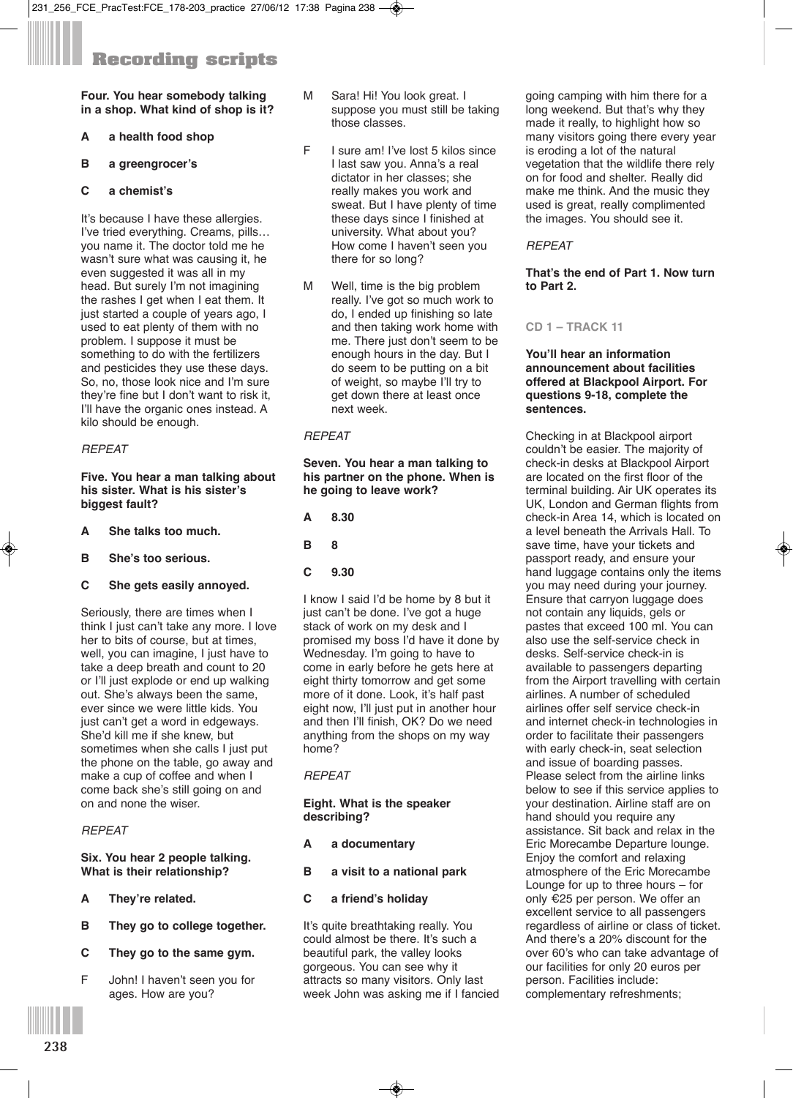**Four. You hear somebody talking in a shop. What kind of shop is it?**

# **A a health food shop**

# **B a greengrocer's**

# **C a chemist's**

It's because I have these allergies. I've tried everything. Creams, pills… you name it. The doctor told me he wasn't sure what was causing it, he even suggested it was all in my head. But surely I'm not imagining the rashes I get when I eat them. It just started a couple of years ago, I used to eat plenty of them with no problem. I suppose it must be something to do with the fertilizers and pesticides they use these days. So, no, those look nice and I'm sure they're fine but I don't want to risk it, I'll have the organic ones instead. A kilo should be enough.

# **REPEAT**

### **Five. You hear a man talking about his sister. What is his sister's biggest fault?**

- **A She talks too much.**
- **B She's too serious.**

# **C She gets easily annoyed.**

Seriously, there are times when I think I just can't take any more. I love her to bits of course, but at times, well, you can imagine, I just have to take a deep breath and count to 20 or I'll just explode or end up walking out. She's always been the same, ever since we were little kids. You just can't get a word in edgeways. She'd kill me if she knew, but sometimes when she calls I just put the phone on the table, go away and make a cup of coffee and when I come back she's still going on and on and none the wiser.

# **REPEAT**

### **Six. You hear 2 people talking. What is their relationship?**

- **A They're related.**
- **B They go to college together.**
- **C They go to the same gym.**
- F John! I haven't seen you for ages. How are you?
- M Sara! Hi! You look great. I suppose you must still be taking those classes.
- F I sure am! I've lost 5 kilos since I last saw you. Anna's a real dictator in her classes; she really makes you work and sweat. But I have plenty of time these days since I finished at university. What about you? How come I haven't seen you there for so long?
- M Well, time is the big problem really. I've got so much work to do, I ended up finishing so late and then taking work home with me. There just don't seem to be enough hours in the day. But I do seem to be putting on a bit of weight, so maybe I'll try to get down there at least once next week.

# REPEAT

### **Seven. You hear a man talking to his partner on the phone. When is he going to leave work?**

**A 8.30**

**B 8**

**C 9.30**

I know I said I'd be home by 8 but it just can't be done. I've got a huge stack of work on my desk and I promised my boss I'd have it done by Wednesday. I'm going to have to come in early before he gets here at eight thirty tomorrow and get some more of it done. Look, it's half past eight now, I'll just put in another hour and then I'll finish, OK? Do we need anything from the shops on my way home?

# **REPEAT**

### **Eight. What is the speaker describing?**

- **A a documentary**
- **B a visit to a national park**
- **C a friend's holiday**

It's quite breathtaking really. You could almost be there. It's such a beautiful park, the valley looks gorgeous. You can see why it attracts so many visitors. Only last week John was asking me if I fancied

going camping with him there for a long weekend. But that's why they made it really, to highlight how so many visitors going there every year is eroding a lot of the natural vegetation that the wildlife there rely on for food and shelter. Really did make me think. And the music they used is great, really complimented the images. You should see it.

# **REPEAT**

### **That's the end of Part 1. Now turn to Part 2.**

**CD 1 – TRACK 11**

### **You'll hear an information announcement about facilities offered at Blackpool Airport. For questions 9-18, complete the sentences.**

Checking in at Blackpool airport couldn't be easier. The majority of check-in desks at Blackpool Airport are located on the first floor of the terminal building. Air UK operates its UK, London and German flights from check-in Area 14, which is located on a level beneath the Arrivals Hall. To save time, have your tickets and passport ready, and ensure your hand luggage contains only the items you may need during your journey. Ensure that carryon luggage does not contain any liquids, gels or pastes that exceed 100 ml. You can also use the self-service check in desks. Self-service check-in is available to passengers departing from the Airport travelling with certain airlines. A number of scheduled airlines offer self service check-in and internet check-in technologies in order to facilitate their passengers with early check-in, seat selection and issue of boarding passes. Please select from the airline links below to see if this service applies to your destination. Airline staff are on hand should you require any assistance. Sit back and relax in the Eric Morecambe Departure lounge. Enjoy the comfort and relaxing atmosphere of the Eric Morecambe Lounge for up to three hours – for only €25 per person. We offer an excellent service to all passengers regardless of airline or class of ticket. And there's a 20% discount for the over 60's who can take advantage of our facilities for only 20 euros per person. Facilities include: complementary refreshments;

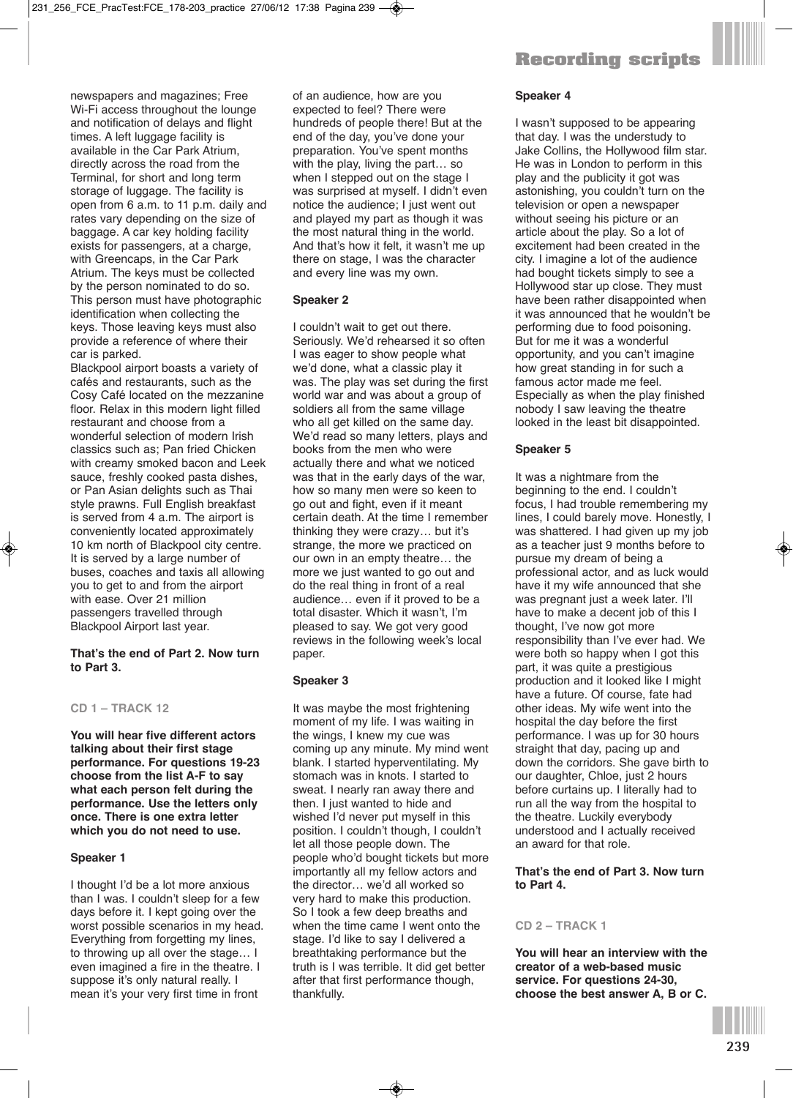newspapers and magazines; Free Wi-Fi access throughout the lounge and notification of delays and flight times. A left luggage facility is available in the Car Park Atrium, directly across the road from the Terminal, for short and long term storage of luggage. The facility is open from 6 a.m. to 11 p.m. daily and rates vary depending on the size of baggage. A car key holding facility exists for passengers, at a charge, with Greencaps, in the Car Park Atrium. The keys must be collected by the person nominated to do so. This person must have photographic identification when collecting the keys. Those leaving keys must also provide a reference of where their car is parked.

Blackpool airport boasts a variety of cafés and restaurants, such as the Cosy Café located on the mezzanine floor. Relax in this modern light filled restaurant and choose from a wonderful selection of modern Irish classics such as; Pan fried Chicken with creamy smoked bacon and Leek sauce, freshly cooked pasta dishes, or Pan Asian delights such as Thai style prawns. Full English breakfast is served from 4 a.m. The airport is conveniently located approximately 10 km north of Blackpool city centre. It is served by a large number of buses, coaches and taxis all allowing you to get to and from the airport with ease. Over 21 million passengers travelled through Blackpool Airport last year.

**That's the end of Part 2. Now turn to Part 3.**

#### **CD 1 – TRACK 12**

**You will hear five different actors talking about their first stage performance. For questions 19-23 choose from the list A-F to say what each person felt during the performance. Use the letters only once. There is one extra letter which you do not need to use.**

#### **Speaker 1**

I thought I'd be a lot more anxious than I was. I couldn't sleep for a few days before it. I kept going over the worst possible scenarios in my head. Everything from forgetting my lines, to throwing up all over the stage… I even imagined a fire in the theatre. I suppose it's only natural really. I mean it's your very first time in front

of an audience, how are you expected to feel? There were hundreds of people there! But at the end of the day, you've done your preparation. You've spent months with the play, living the part… so when I stepped out on the stage I was surprised at myself. I didn't even notice the audience; I just went out and played my part as though it was the most natural thing in the world. And that's how it felt, it wasn't me up there on stage, I was the character and every line was my own.

### **Speaker 2**

I couldn't wait to get out there. Seriously. We'd rehearsed it so often I was eager to show people what we'd done, what a classic play it was. The play was set during the first world war and was about a group of soldiers all from the same village who all get killed on the same day. We'd read so many letters, plays and books from the men who were actually there and what we noticed was that in the early days of the war, how so many men were so keen to go out and fight, even if it meant certain death. At the time I remember thinking they were crazy… but it's strange, the more we practiced on our own in an empty theatre… the more we just wanted to go out and do the real thing in front of a real audience… even if it proved to be a total disaster. Which it wasn't, I'm pleased to say. We got very good reviews in the following week's local paper.

#### **Speaker 3**

It was maybe the most frightening moment of my life. I was waiting in the wings, I knew my cue was coming up any minute. My mind went blank. I started hyperventilating. My stomach was in knots. I started to sweat. I nearly ran away there and then. I just wanted to hide and wished I'd never put myself in this position. I couldn't though, I couldn't let all those people down. The people who'd bought tickets but more importantly all my fellow actors and the director… we'd all worked so very hard to make this production. So I took a few deep breaths and when the time came I went onto the stage. I'd like to say I delivered a breathtaking performance but the truth is I was terrible. It did get better after that first performance though, thankfully.

#### **Speaker 4**

I wasn't supposed to be appearing that day. I was the understudy to Jake Collins, the Hollywood film star. He was in London to perform in this play and the publicity it got was astonishing, you couldn't turn on the television or open a newspaper without seeing his picture or an article about the play. So a lot of excitement had been created in the city. I imagine a lot of the audience had bought tickets simply to see a Hollywood star up close. They must have been rather disappointed when it was announced that he wouldn't be performing due to food poisoning. But for me it was a wonderful opportunity, and you can't imagine how great standing in for such a famous actor made me feel. Especially as when the play finished nobody I saw leaving the theatre looked in the least bit disappointed.

# **Speaker 5**

It was a nightmare from the beginning to the end. I couldn't focus, I had trouble remembering my lines, I could barely move. Honestly, I was shattered. I had given up my job as a teacher just 9 months before to pursue my dream of being a professional actor, and as luck would have it my wife announced that she was pregnant just a week later. I'll have to make a decent job of this I thought, I've now got more responsibility than I've ever had. We were both so happy when I got this part, it was quite a prestigious production and it looked like I might have a future. Of course, fate had other ideas. My wife went into the hospital the day before the first performance. I was up for 30 hours straight that day, pacing up and down the corridors. She gave birth to our daughter, Chloe, just 2 hours before curtains up. I literally had to run all the way from the hospital to the theatre. Luckily everybody understood and I actually received an award for that role.

### **That's the end of Part 3. Now turn to Part 4.**

# **CD 2 – TRACK 1**

**You will hear an interview with the creator of a web-based music service. For questions 24-30, choose the best answer A, B or C.**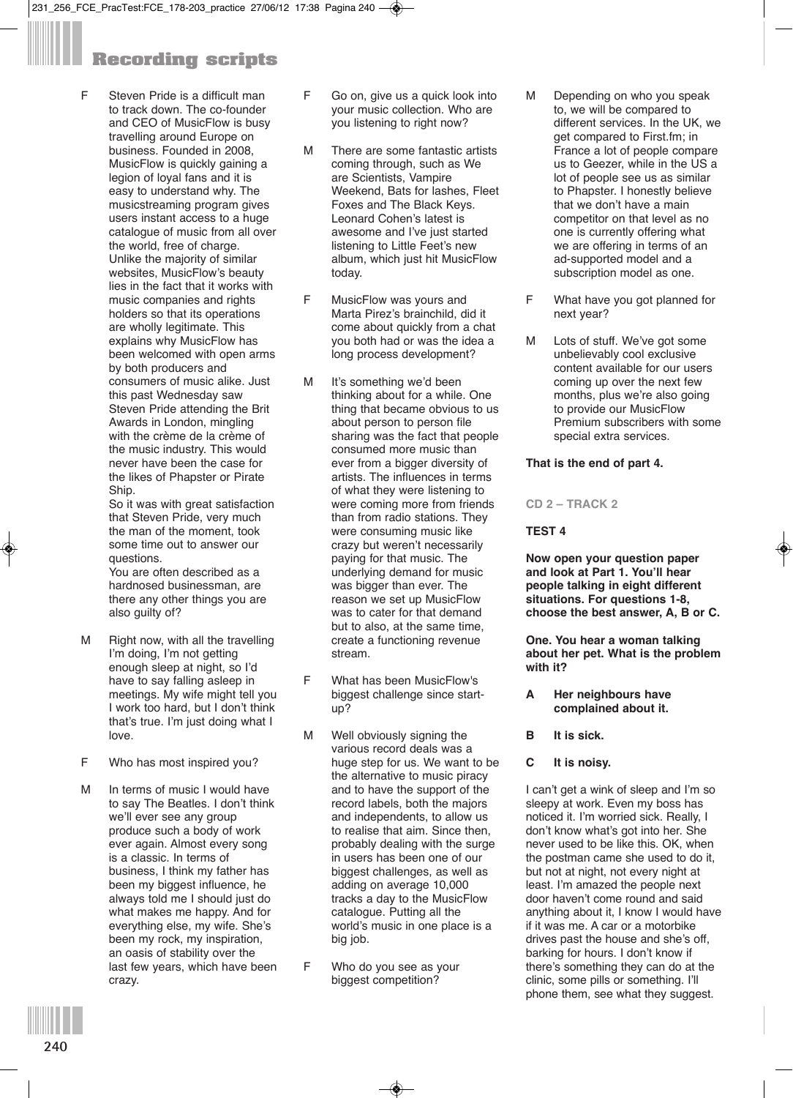F Steven Pride is a difficult man to track down. The co-founder and CEO of MusicFlow is busy travelling around Europe on business. Founded in 2008, MusicFlow is quickly gaining a legion of loyal fans and it is easy to understand why. The musicstreaming program gives users instant access to a huge catalogue of music from all over the world, free of charge. Unlike the majority of similar websites, MusicFlow's beauty lies in the fact that it works with music companies and rights holders so that its operations are wholly legitimate. This explains why MusicFlow has been welcomed with open arms by both producers and consumers of music alike. Just this past Wednesday saw Steven Pride attending the Brit Awards in London, mingling with the crème de la crème of the music industry. This would never have been the case for the likes of Phapster or Pirate Ship.

So it was with great satisfaction that Steven Pride, very much the man of the moment, took some time out to answer our questions.

You are often described as a hardnosed businessman, are there any other things you are also guilty of?

- M Right now, with all the travelling I'm doing, I'm not getting enough sleep at night, so I'd have to say falling asleep in meetings. My wife might tell you I work too hard, but I don't think that's true. I'm just doing what I love.
- F Who has most inspired you?
- M In terms of music I would have to say The Beatles. I don't think we'll ever see any group produce such a body of work ever again. Almost every song is a classic. In terms of business, I think my father has been my biggest influence, he always told me I should just do what makes me happy. And for everything else, my wife. She's been my rock, my inspiration, an oasis of stability over the last few years, which have been crazy.
- F Go on, give us a quick look into your music collection. Who are you listening to right now?
- M There are some fantastic artists coming through, such as We are Scientists, Vampire Weekend, Bats for lashes, Fleet Foxes and The Black Keys. Leonard Cohen's latest is awesome and I've just started listening to Little Feet's new album, which just hit MusicFlow today.
- F MusicFlow was yours and Marta Pirez's brainchild, did it come about quickly from a chat you both had or was the idea a long process development?
- M It's something we'd been thinking about for a while. One thing that became obvious to us about person to person file sharing was the fact that people consumed more music than ever from a bigger diversity of artists. The influences in terms of what they were listening to were coming more from friends than from radio stations. They were consuming music like crazy but weren't necessarily paying for that music. The underlying demand for music was bigger than ever. The reason we set up MusicFlow was to cater for that demand but to also, at the same time, create a functioning revenue stream.
- F What has been MusicFlow's biggest challenge since startup?
- M Well obviously signing the various record deals was a huge step for us. We want to be the alternative to music piracy and to have the support of the record labels, both the majors and independents, to allow us to realise that aim. Since then, probably dealing with the surge in users has been one of our biggest challenges, as well as adding on average 10,000 tracks a day to the MusicFlow catalogue. Putting all the world's music in one place is a big job.
- F Who do you see as your biggest competition?
- M Depending on who you speak to, we will be compared to different services. In the UK, we get compared to First.fm; in France a lot of people compare us to Geezer, while in the US a lot of people see us as similar to Phapster. I honestly believe that we don't have a main competitor on that level as no one is currently offering what we are offering in terms of an ad-supported model and a subscription model as one.
- F What have you got planned for next year?
- M Lots of stuff. We've got some unbelievably cool exclusive content available for our users coming up over the next few months, plus we're also going to provide our MusicFlow Premium subscribers with some special extra services.

# **That is the end of part 4.**

# **CD 2 – TRACK 2**

# **TEST 4**

**Now open your question paper and look at Part 1. You'll hear people talking in eight different situations. For questions 1-8, choose the best answer, A, B or C.**

**One. You hear a woman talking about her pet. What is the problem with it?**

- **A Her neighbours have complained about it.**
- **B It is sick.**
- **C It is noisy.**

I can't get a wink of sleep and I'm so sleepy at work. Even my boss has noticed it. I'm worried sick. Really, I don't know what's got into her. She never used to be like this. OK, when the postman came she used to do it, but not at night, not every night at least. I'm amazed the people next door haven't come round and said anything about it, I know I would have if it was me. A car or a motorbike drives past the house and she's off, barking for hours. I don't know if there's something they can do at the clinic, some pills or something. I'll phone them, see what they suggest.

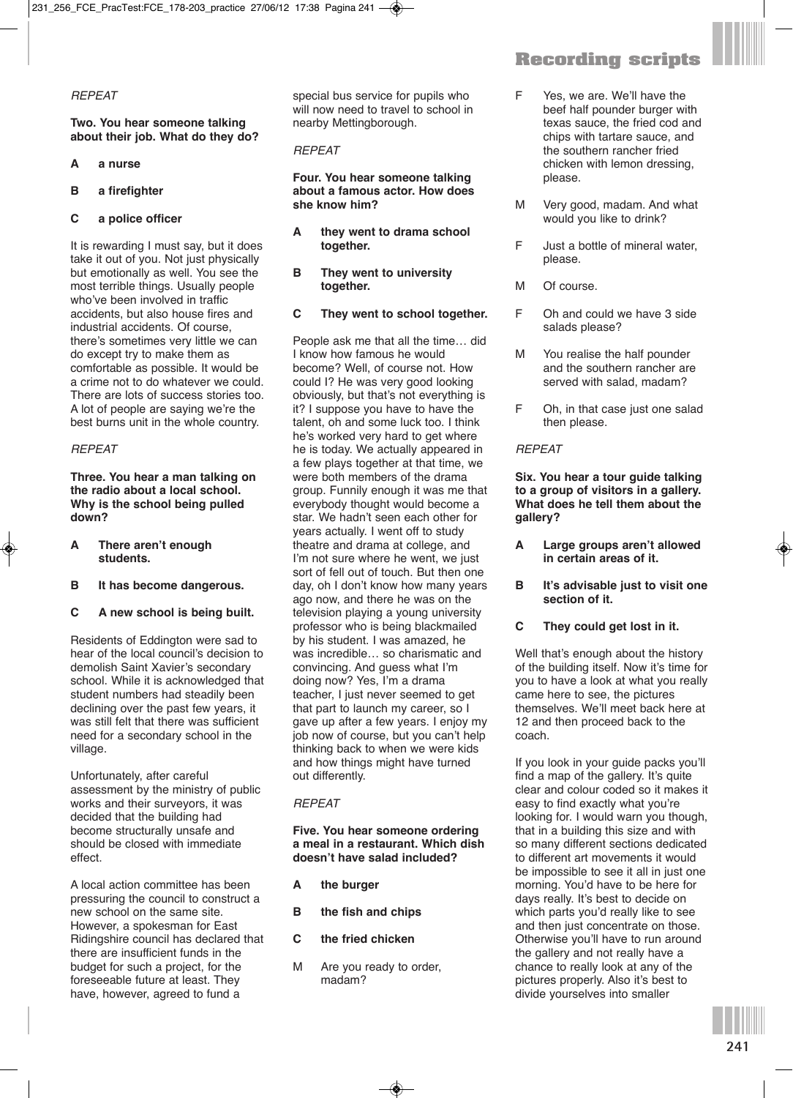# REPEAT

**Two. You hear someone talking about their job. What do they do?**

- **A a nurse**
- **B a firefighter**

### **C a police officer**

It is rewarding I must say, but it does take it out of you. Not just physically but emotionally as well. You see the most terrible things. Usually people who've been involved in traffic accidents, but also house fires and industrial accidents. Of course, there's sometimes very little we can do except try to make them as comfortable as possible. It would be a crime not to do whatever we could. There are lots of success stories too. A lot of people are saying we're the best burns unit in the whole country.

# **REPEAT**

**Three. You hear a man talking on the radio about a local school. Why is the school being pulled down?**

- **A There aren't enough students.**
- **B It has become dangerous.**
- **C A new school is being built.**

Residents of Eddington were sad to hear of the local council's decision to demolish Saint Xavier's secondary school. While it is acknowledged that student numbers had steadily been declining over the past few years, it was still felt that there was sufficient need for a secondary school in the village.

Unfortunately, after careful assessment by the ministry of public works and their surveyors, it was decided that the building had become structurally unsafe and should be closed with immediate effect.

A local action committee has been pressuring the council to construct a new school on the same site. However, a spokesman for East Ridingshire council has declared that there are insufficient funds in the budget for such a project, for the foreseeable future at least. They have, however, agreed to fund a

special bus service for pupils who will now need to travel to school in nearby Mettingborough.

### **REPEAT**

**Four. You hear someone talking about a famous actor. How does she know him?**

- **A they went to drama school together.**
- **B They went to university together.**
- **C They went to school together.**

People ask me that all the time… did I know how famous he would become? Well, of course not. How could I? He was very good looking obviously, but that's not everything is it? I suppose you have to have the talent, oh and some luck too. I think he's worked very hard to get where he is today. We actually appeared in a few plays together at that time, we were both members of the drama group. Funnily enough it was me that everybody thought would become a star. We hadn't seen each other for years actually. I went off to study theatre and drama at college, and I'm not sure where he went, we just sort of fell out of touch. But then one day, oh I don't know how many years ago now, and there he was on the television playing a young university professor who is being blackmailed by his student. I was amazed, he was incredible… so charismatic and convincing. And guess what I'm doing now? Yes, I'm a drama teacher, I just never seemed to get that part to launch my career, so I gave up after a few years. I enjoy my job now of course, but you can't help thinking back to when we were kids and how things might have turned out differently.

# **REPEAT**

**Five. You hear someone ordering a meal in a restaurant. Which dish doesn't have salad included?**

- **A the burger**
- **B the fish and chips**
- **C the fried chicken**
- M Are you ready to order, madam?

**Recording scripts**

- F Yes, we are. We'll have the beef half pounder burger with texas sauce, the fried cod and chips with tartare sauce, and the southern rancher fried chicken with lemon dressing, please.
- M Very good, madam. And what would you like to drink?
- F Just a bottle of mineral water, please.
- M Of course.
- F Oh and could we have 3 side salads please?
- M You realise the half pounder and the southern rancher are served with salad, madam?
- F Oh, in that case just one salad then please.

#### **REPEAT**

**Six. You hear a tour guide talking to a group of visitors in a gallery. What does he tell them about the gallery?**

- **A Large groups aren't allowed in certain areas of it.**
- **B It's advisable just to visit one section of it.**
- **C They could get lost in it.**

Well that's enough about the history of the building itself. Now it's time for you to have a look at what you really came here to see, the pictures themselves. We'll meet back here at 12 and then proceed back to the coach.

If you look in your guide packs you'll find a map of the gallery. It's quite clear and colour coded so it makes it easy to find exactly what you're looking for. I would warn you though, that in a building this size and with so many different sections dedicated to different art movements it would be impossible to see it all in just one morning. You'd have to be here for days really. It's best to decide on which parts you'd really like to see and then just concentrate on those. Otherwise you'll have to run around the gallery and not really have a chance to really look at any of the pictures properly. Also it's best to divide yourselves into smaller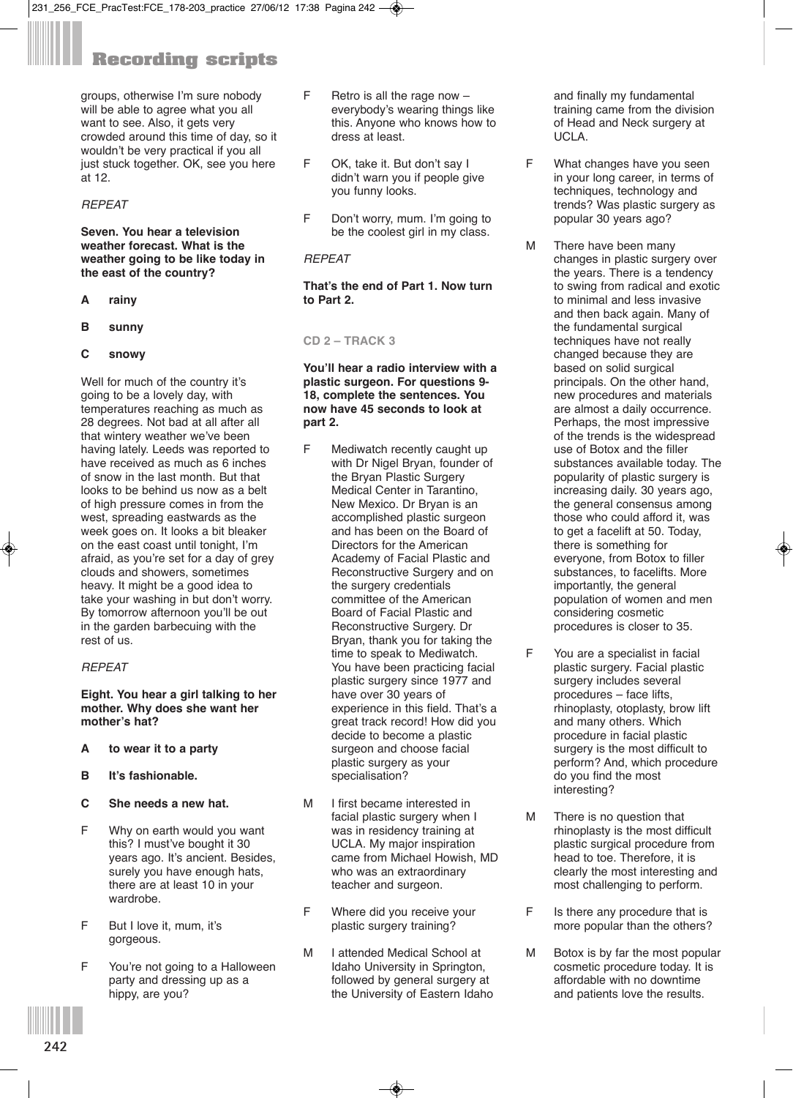groups, otherwise I'm sure nobody will be able to agree what you all want to see. Also, it gets very crowded around this time of day, so it wouldn't be very practical if you all just stuck together. OK, see you here at 12.

# **REPEAT**

**Seven. You hear a television weather forecast. What is the weather going to be like today in the east of the country?**

- **A rainy**
- **B sunny**
- **C snowy**

Well for much of the country it's going to be a lovely day, with temperatures reaching as much as 28 degrees. Not bad at all after all that wintery weather we've been having lately. Leeds was reported to have received as much as 6 inches of snow in the last month. But that looks to be behind us now as a belt of high pressure comes in from the west, spreading eastwards as the week goes on. It looks a bit bleaker on the east coast until tonight, I'm afraid, as you're set for a day of grey clouds and showers, sometimes heavy. It might be a good idea to take your washing in but don't worry. By tomorrow afternoon you'll be out in the garden barbecuing with the rest of us.

# **REPEAT**

### **Eight. You hear a girl talking to her mother. Why does she want her mother's hat?**

- **A to wear it to a party**
- **B It's fashionable.**
- **C She needs a new hat.**
- F Why on earth would you want this? I must've bought it 30 years ago. It's ancient. Besides, surely you have enough hats, there are at least 10 in your wardrobe.
- F But I love it, mum, it's gorgeous.
- F You're not going to a Halloween party and dressing up as a hippy, are you?
- $F$  Retro is all the rage now  $$ everybody's wearing things like this. Anyone who knows how to dress at least.
- F OK, take it. But don't say I didn't warn you if people give you funny looks.
- F Don't worry, mum. I'm going to be the coolest girl in my class.

# **REPEAT**

**That's the end of Part 1. Now turn to Part 2.**

# **CD 2 – TRACK 3**

**You'll hear a radio interview with a plastic surgeon. For questions 9- 18, complete the sentences. You now have 45 seconds to look at part 2.**

- F Mediwatch recently caught up with Dr Nigel Bryan, founder of the Bryan Plastic Surgery Medical Center in Tarantino, New Mexico. Dr Bryan is an accomplished plastic surgeon and has been on the Board of Directors for the American Academy of Facial Plastic and Reconstructive Surgery and on the surgery credentials committee of the American Board of Facial Plastic and Reconstructive Surgery. Dr Bryan, thank you for taking the time to speak to Mediwatch. You have been practicing facial plastic surgery since 1977 and have over 30 years of experience in this field. That's a great track record! How did you decide to become a plastic surgeon and choose facial plastic surgery as your specialisation?
- M I first became interested in facial plastic surgery when I was in residency training at UCLA. My major inspiration came from Michael Howish, MD who was an extraordinary teacher and surgeon.
- F Where did you receive your plastic surgery training?
- M I attended Medical School at Idaho University in Springton, followed by general surgery at the University of Eastern Idaho

and finally my fundamental training came from the division of Head and Neck surgery at UCLA.

- F What changes have you seen in your long career, in terms of techniques, technology and trends? Was plastic surgery as popular 30 years ago?
- M There have been many changes in plastic surgery over the years. There is a tendency to swing from radical and exotic to minimal and less invasive and then back again. Many of the fundamental surgical techniques have not really changed because they are based on solid surgical principals. On the other hand, new procedures and materials are almost a daily occurrence. Perhaps, the most impressive of the trends is the widespread use of Botox and the filler substances available today. The popularity of plastic surgery is increasing daily. 30 years ago, the general consensus among those who could afford it, was to get a facelift at 50. Today, there is something for everyone, from Botox to filler substances, to facelifts. More importantly, the general population of women and men considering cosmetic procedures is closer to 35.
- F You are a specialist in facial plastic surgery. Facial plastic surgery includes several procedures – face lifts, rhinoplasty, otoplasty, brow lift and many others. Which procedure in facial plastic surgery is the most difficult to perform? And, which procedure do you find the most interesting?
- M There is no question that rhinoplasty is the most difficult plastic surgical procedure from head to toe. Therefore, it is clearly the most interesting and most challenging to perform.
- F Is there any procedure that is more popular than the others?
- M Botox is by far the most popular cosmetic procedure today. It is affordable with no downtime and patients love the results.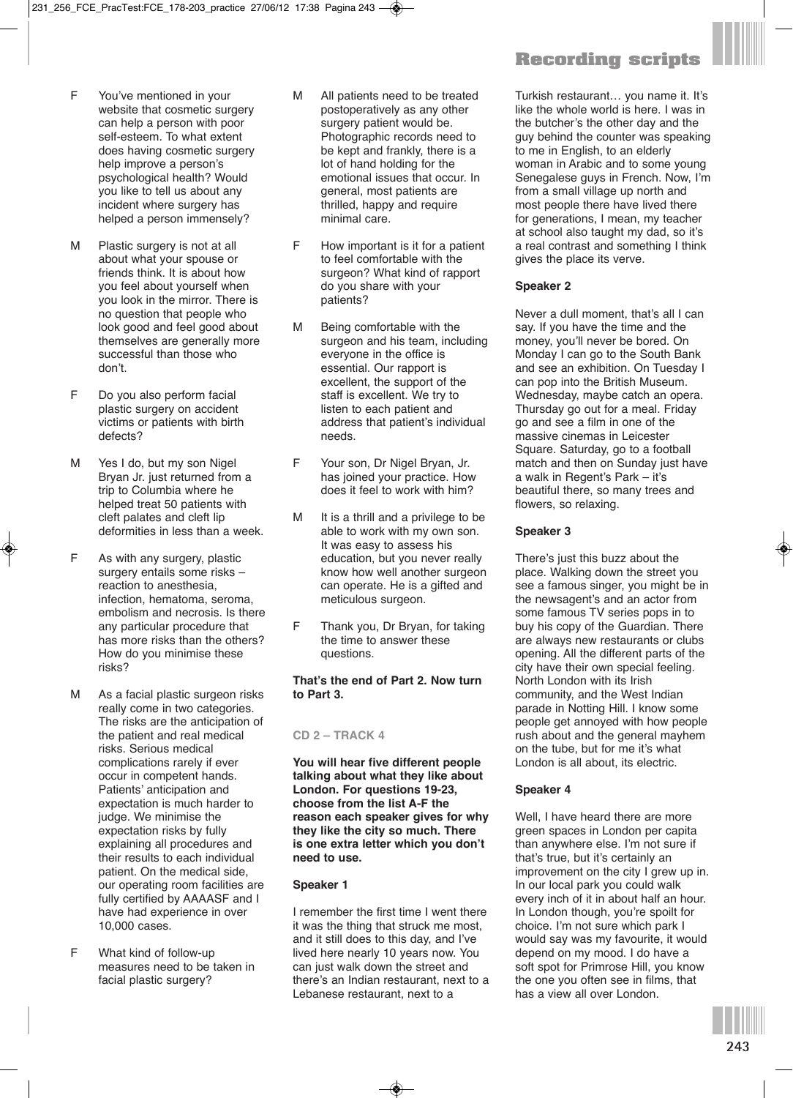- F You've mentioned in your website that cosmetic surgery can help a person with poor self-esteem. To what extent does having cosmetic surgery help improve a person's psychological health? Would you like to tell us about any incident where surgery has helped a person immensely?
- M Plastic surgery is not at all about what your spouse or friends think. It is about how you feel about yourself when you look in the mirror. There is no question that people who look good and feel good about themselves are generally more successful than those who don't.
- F Do you also perform facial plastic surgery on accident victims or patients with birth defects?
- M Yes I do, but my son Nigel Bryan Jr. just returned from a trip to Columbia where he helped treat 50 patients with cleft palates and cleft lip deformities in less than a week.
- F As with any surgery, plastic surgery entails some risks – reaction to anesthesia, infection, hematoma, seroma, embolism and necrosis. Is there any particular procedure that has more risks than the others? How do you minimise these risks?
- M As a facial plastic surgeon risks really come in two categories. The risks are the anticipation of the patient and real medical risks. Serious medical complications rarely if ever occur in competent hands. Patients' anticipation and expectation is much harder to judge. We minimise the expectation risks by fully explaining all procedures and their results to each individual patient. On the medical side, our operating room facilities are fully certified by AAAASF and I have had experience in over 10,000 cases.
- F What kind of follow-up measures need to be taken in facial plastic surgery?
- M All patients need to be treated postoperatively as any other surgery patient would be. Photographic records need to be kept and frankly, there is a lot of hand holding for the emotional issues that occur. In general, most patients are thrilled, happy and require minimal care.
- F How important is it for a patient to feel comfortable with the surgeon? What kind of rapport do you share with your patients?
- M Being comfortable with the surgeon and his team, including everyone in the office is essential. Our rapport is excellent, the support of the staff is excellent. We try to listen to each patient and address that patient's individual needs.
- F Your son, Dr Nigel Bryan, Jr. has joined your practice. How does it feel to work with him?
- M It is a thrill and a privilege to be able to work with my own son. It was easy to assess his education, but you never really know how well another surgeon can operate. He is a gifted and meticulous surgeon.
- F Thank you, Dr Bryan, for taking the time to answer these questions.

**That's the end of Part 2. Now turn to Part 3.**

# **CD 2 – TRACK 4**

**You will hear five different people talking about what they like about London. For questions 19-23, choose from the list A-F the reason each speaker gives for why they like the city so much. There is one extra letter which you don't need to use.**

# **Speaker 1**

I remember the first time I went there it was the thing that struck me most, and it still does to this day, and I've lived here nearly 10 years now. You can just walk down the street and there's an Indian restaurant, next to a Lebanese restaurant, next to a

Turkish restaurant… you name it. It's like the whole world is here. I was in the butcher's the other day and the guy behind the counter was speaking to me in English, to an elderly woman in Arabic and to some young Senegalese guys in French. Now, I'm from a small village up north and most people there have lived there for generations, I mean, my teacher at school also taught my dad, so it's a real contrast and something I think gives the place its verve.

# **Speaker 2**

Never a dull moment, that's all I can say. If you have the time and the money, you'll never be bored. On Monday I can go to the South Bank and see an exhibition. On Tuesday I can pop into the British Museum. Wednesday, maybe catch an opera. Thursday go out for a meal. Friday go and see a film in one of the massive cinemas in Leicester Square. Saturday, go to a football match and then on Sunday just have a walk in Regent's Park – it's beautiful there, so many trees and flowers, so relaxing.

# **Speaker 3**

There's just this buzz about the place. Walking down the street you see a famous singer, you might be in the newsagent's and an actor from some famous TV series pops in to buy his copy of the Guardian. There are always new restaurants or clubs opening. All the different parts of the city have their own special feeling. North London with its Irish community, and the West Indian parade in Notting Hill. I know some people get annoyed with how people rush about and the general mayhem on the tube, but for me it's what London is all about, its electric.

# **Speaker 4**

Well, I have heard there are more green spaces in London per capita than anywhere else. I'm not sure if that's true, but it's certainly an improvement on the city I grew up in. In our local park you could walk every inch of it in about half an hour. In London though, you're spoilt for choice. I'm not sure which park I would say was my favourite, it would depend on my mood. I do have a soft spot for Primrose Hill, you know the one you often see in films, that has a view all over London.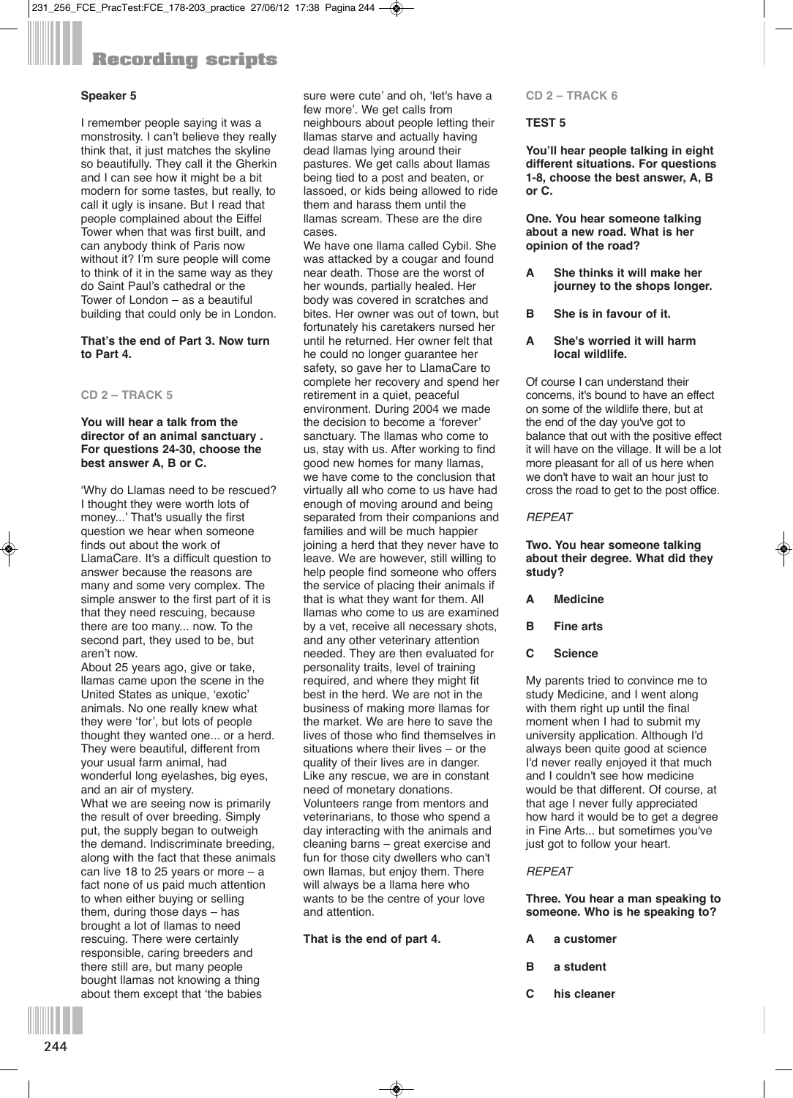#### **Speaker 5**

I remember people saying it was a monstrosity. I can't believe they really think that, it just matches the skyline so beautifully. They call it the Gherkin and I can see how it might be a bit modern for some tastes, but really, to call it ugly is insane. But I read that people complained about the Eiffel Tower when that was first built, and can anybody think of Paris now without it? I'm sure people will come to think of it in the same way as they do Saint Paul's cathedral or the Tower of London – as a beautiful building that could only be in London.

#### **That's the end of Part 3. Now turn to Part 4.**

#### **CD 2 – TRACK 5**

### **You will hear a talk from the director of an animal sanctuary . For questions 24-30, choose the best answer A, B or C.**

'Why do Llamas need to be rescued? I thought they were worth lots of money...' That's usually the first question we hear when someone finds out about the work of LlamaCare. It's a difficult question to answer because the reasons are many and some very complex. The simple answer to the first part of it is that they need rescuing, because there are too many... now. To the second part, they used to be, but aren't now.

About 25 years ago, give or take, llamas came upon the scene in the United States as unique, 'exotic' animals. No one really knew what they were 'for', but lots of people thought they wanted one... or a herd. They were beautiful, different from your usual farm animal, had wonderful long eyelashes, big eyes, and an air of mystery. What we are seeing now is primarily the result of over breeding. Simply put, the supply began to outweigh the demand. Indiscriminate breeding, along with the fact that these animals can live 18 to 25 years or more  $-$  a fact none of us paid much attention to when either buying or selling them, during those days – has brought a lot of llamas to need rescuing. There were certainly responsible, caring breeders and there still are, but many people bought llamas not knowing a thing

about them except that 'the babies

sure were cute' and oh, 'let's have a few more'. We get calls from neighbours about people letting their llamas starve and actually having dead llamas lying around their pastures. We get calls about llamas being tied to a post and beaten, or lassoed, or kids being allowed to ride them and harass them until the llamas scream. These are the dire cases.

We have one llama called Cybil. She was attacked by a cougar and found near death. Those are the worst of her wounds, partially healed. Her body was covered in scratches and bites. Her owner was out of town, but fortunately his caretakers nursed her until he returned. Her owner felt that he could no longer guarantee her safety, so gave her to LlamaCare to complete her recovery and spend her retirement in a quiet, peaceful environment. During 2004 we made the decision to become a 'forever' sanctuary. The llamas who come to us, stay with us. After working to find good new homes for many llamas, we have come to the conclusion that virtually all who come to us have had enough of moving around and being separated from their companions and families and will be much happier joining a herd that they never have to leave. We are however, still willing to help people find someone who offers the service of placing their animals if that is what they want for them. All llamas who come to us are examined by a vet, receive all necessary shots, and any other veterinary attention needed. They are then evaluated for personality traits, level of training required, and where they might fit best in the herd. We are not in the business of making more llamas for the market. We are here to save the lives of those who find themselves in situations where their lives – or the quality of their lives are in danger. Like any rescue, we are in constant need of monetary donations. Volunteers range from mentors and veterinarians, to those who spend a day interacting with the animals and cleaning barns – great exercise and fun for those city dwellers who can't own llamas, but enjoy them. There will always be a llama here who wants to be the centre of your love and attention.

#### **That is the end of part 4.**

#### **CD 2 – TRACK 6**

#### **TEST 5**

**You'll hear people talking in eight different situations. For questions 1-8, choose the best answer, A, B or C.**

**One. You hear someone talking about a new road. What is her opinion of the road?**

- **A She thinks it will make her journey to the shops longer.**
- **B She is in favour of it.**
- **A She's worried it will harm local wildlife.**

Of course I can understand their concerns, it's bound to have an effect on some of the wildlife there, but at the end of the day you've got to balance that out with the positive effect it will have on the village. It will be a lot more pleasant for all of us here when we don't have to wait an hour just to cross the road to get to the post office.

#### **REPEAT**

#### **Two. You hear someone talking about their degree. What did they study?**

- **A Medicine**
- **B Fine arts**
- **C Science**

My parents tried to convince me to study Medicine, and I went along with them right up until the final moment when I had to submit my university application. Although I'd always been quite good at science I'd never really enjoyed it that much and I couldn't see how medicine would be that different. Of course, at that age I never fully appreciated how hard it would be to get a degree in Fine Arts... but sometimes you've just got to follow your heart.

#### **REPEAT**

**Three. You hear a man speaking to someone. Who is he speaking to?**

- **A a customer**
- **B a student**
- **C his cleaner**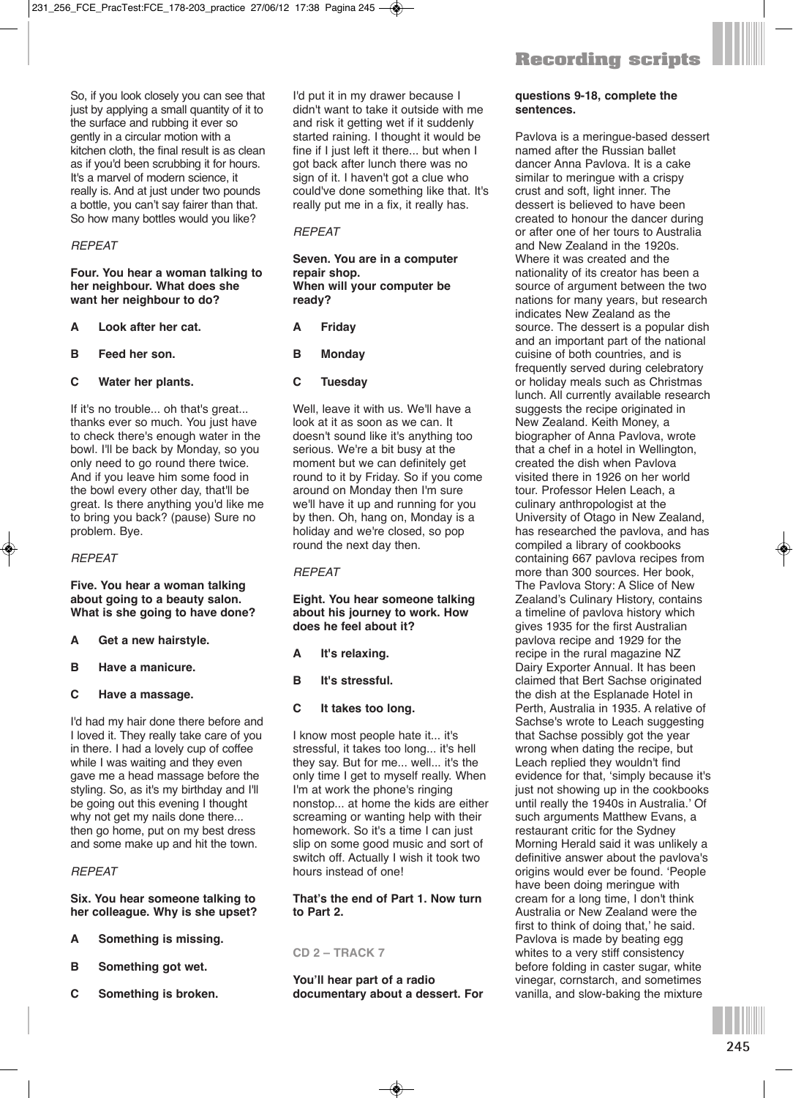So, if you look closely you can see that just by applying a small quantity of it to the surface and rubbing it ever so gently in a circular motion with a kitchen cloth, the final result is as clean as if you'd been scrubbing it for hours. It's a marvel of modern science, it really is. And at just under two pounds a bottle, you can't say fairer than that. So how many bottles would you like?

### **REPEAT**

#### **Four. You hear a woman talking to her neighbour. What does she want her neighbour to do?**

- **A Look after her cat.**
- **B Feed her son.**

# **C Water her plants.**

If it's no trouble... oh that's great... thanks ever so much. You just have to check there's enough water in the bowl. I'll be back by Monday, so you only need to go round there twice. And if you leave him some food in the bowl every other day, that'll be great. Is there anything you'd like me to bring you back? (pause) Sure no problem. Bye.

#### **REPEAT**

#### **Five. You hear a woman talking about going to a beauty salon. What is she going to have done?**

- **A Get a new hairstyle.**
- **B Have a manicure.**
- **C Have a massage.**

I'd had my hair done there before and I loved it. They really take care of you in there. I had a lovely cup of coffee while I was waiting and they even gave me a head massage before the styling. So, as it's my birthday and I'll be going out this evening I thought why not get my nails done there... then go home, put on my best dress and some make up and hit the town.

# **REPEAT**

### **Six. You hear someone talking to her colleague. Why is she upset?**

- **A Something is missing.**
- **B Something got wet.**
- **C Something is broken.**

I'd put it in my drawer because I didn't want to take it outside with me and risk it getting wet if it suddenly started raining. I thought it would be fine if I just left it there... but when I got back after lunch there was no sign of it. I haven't got a clue who could've done something like that. It's really put me in a fix, it really has.

#### **REPEAT**

#### **Seven. You are in a computer repair shop. When will your computer be ready?**

- **A Friday**
- **B Monday**
- **C Tuesday**

Well, leave it with us. We'll have a look at it as soon as we can. It doesn't sound like it's anything too serious. We're a bit busy at the moment but we can definitely get round to it by Friday. So if you come around on Monday then I'm sure we'll have it up and running for you by then. Oh, hang on, Monday is a holiday and we're closed, so pop round the next day then.

#### **REPEAT**

#### **Eight. You hear someone talking about his journey to work. How does he feel about it?**

- **A It's relaxing.**
- **B It's stressful.**
- **C It takes too long.**

I know most people hate it... it's stressful, it takes too long... it's hell they say. But for me... well... it's the only time I get to myself really. When I'm at work the phone's ringing nonstop... at home the kids are either screaming or wanting help with their homework. So it's a time I can just slip on some good music and sort of switch off. Actually I wish it took two hours instead of one!

#### **That's the end of Part 1. Now turn to Part 2.**

#### **CD 2 – TRACK 7**

**You'll hear part of a radio documentary about a dessert. For**

#### **questions 9-18, complete the sentences.**

Pavlova is a meringue-based dessert named after the Russian ballet dancer Anna Pavlova. It is a cake similar to meringue with a crispy crust and soft, light inner. The dessert is believed to have been created to honour the dancer during or after one of her tours to Australia and New Zealand in the 1920s. Where it was created and the nationality of its creator has been a source of argument between the two nations for many years, but research indicates New Zealand as the source. The dessert is a popular dish and an important part of the national cuisine of both countries, and is frequently served during celebratory or holiday meals such as Christmas lunch. All currently available research suggests the recipe originated in New Zealand. Keith Money, a biographer of Anna Pavlova, wrote that a chef in a hotel in Wellington, created the dish when Pavlova visited there in 1926 on her world tour. Professor Helen Leach, a culinary anthropologist at the University of Otago in New Zealand, has researched the pavlova, and has compiled a library of cookbooks containing 667 pavlova recipes from more than 300 sources. Her book, The Pavlova Story: A Slice of New Zealand's Culinary History, contains a timeline of pavlova history which gives 1935 for the first Australian pavlova recipe and 1929 for the recipe in the rural magazine NZ Dairy Exporter Annual. It has been claimed that Bert Sachse originated the dish at the Esplanade Hotel in Perth, Australia in 1935. A relative of Sachse's wrote to Leach suggesting that Sachse possibly got the year wrong when dating the recipe, but Leach replied they wouldn't find evidence for that, 'simply because it's just not showing up in the cookbooks until really the 1940s in Australia.' Of such arguments Matthew Evans, a restaurant critic for the Sydney Morning Herald said it was unlikely a definitive answer about the pavlova's origins would ever be found. 'People have been doing meringue with cream for a long time, I don't think Australia or New Zealand were the first to think of doing that,' he said. Pavlova is made by beating egg whites to a very stiff consistency before folding in caster sugar, white vinegar, cornstarch, and sometimes vanilla, and slow-baking the mixture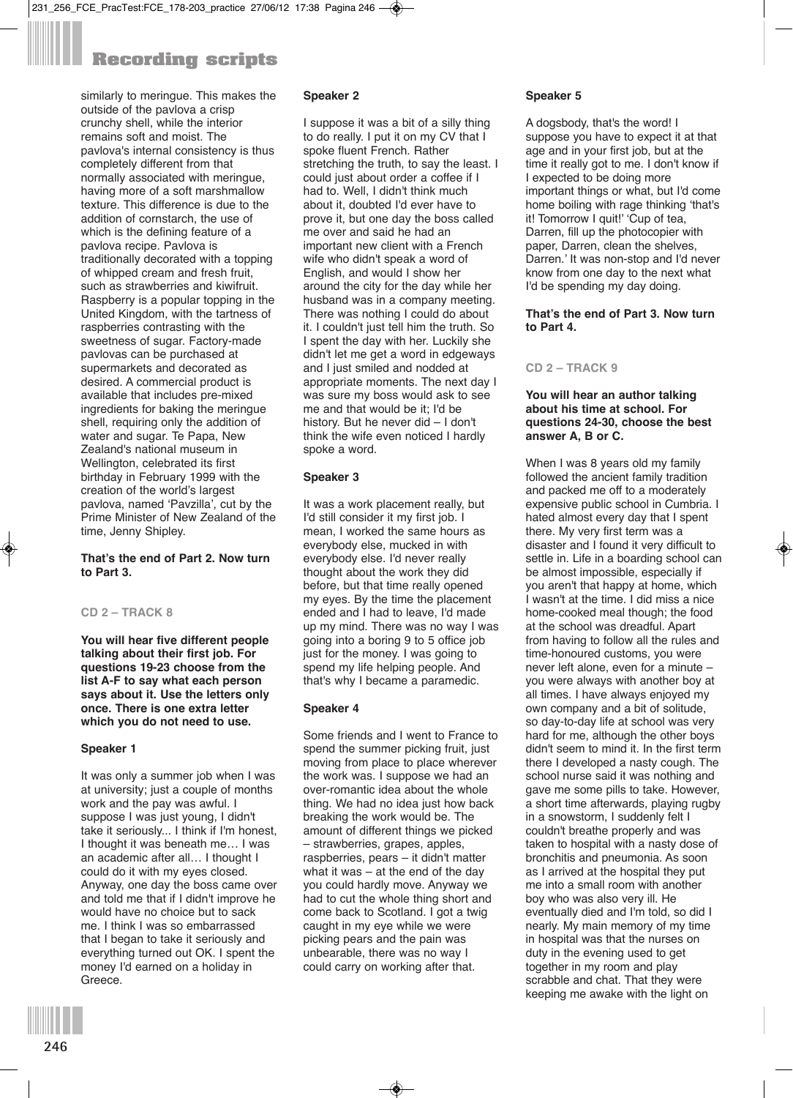similarly to meringue. This makes the outside of the pavlova a crisp crunchy shell, while the interior remains soft and moist. The pavlova's internal consistency is thus completely different from that normally associated with meringue, having more of a soft marshmallow texture. This difference is due to the addition of cornstarch, the use of which is the defining feature of a pavlova recipe. Pavlova is traditionally decorated with a topping of whipped cream and fresh fruit, such as strawberries and kiwifruit. Raspberry is a popular topping in the United Kingdom, with the tartness of raspberries contrasting with the sweetness of sugar. Factory-made pavlovas can be purchased at supermarkets and decorated as desired. A commercial product is available that includes pre-mixed ingredients for baking the meringue shell, requiring only the addition of water and sugar. Te Papa, New Zealand's national museum in Wellington, celebrated its first birthday in February 1999 with the creation of the world's largest pavlova, named 'Pavzilla', cut by the Prime Minister of New Zealand of the time, Jenny Shipley.

### **That's the end of Part 2. Now turn to Part 3.**

# **CD 2 – TRACK 8**

**You will hear five different people talking about their first job. For questions 19-23 choose from the list A-F to say what each person says about it. Use the letters only once. There is one extra letter which you do not need to use.**

#### **Speaker 1**

It was only a summer job when I was at university; just a couple of months work and the pay was awful. I suppose I was just young, I didn't take it seriously... I think if I'm honest, I thought it was beneath me… I was an academic after all… I thought I could do it with my eyes closed. Anyway, one day the boss came over and told me that if I didn't improve he would have no choice but to sack me. I think I was so embarrassed that I began to take it seriously and everything turned out OK. I spent the money I'd earned on a holiday in Greece.

#### **Speaker 2**

I suppose it was a bit of a silly thing to do really. I put it on my CV that I spoke fluent French. Rather stretching the truth, to say the least. I could just about order a coffee if I had to. Well, I didn't think much about it, doubted I'd ever have to prove it, but one day the boss called me over and said he had an important new client with a French wife who didn't speak a word of English, and would I show her around the city for the day while her husband was in a company meeting. There was nothing I could do about it. I couldn't just tell him the truth. So I spent the day with her. Luckily she didn't let me get a word in edgeways and I just smiled and nodded at appropriate moments. The next day I was sure my boss would ask to see me and that would be it; I'd be history. But he never did – I don't think the wife even noticed I hardly spoke a word.

#### **Speaker 3**

It was a work placement really, but I'd still consider it my first job. I mean, I worked the same hours as everybody else, mucked in with everybody else. I'd never really thought about the work they did before, but that time really opened my eyes. By the time the placement ended and I had to leave, I'd made up my mind. There was no way I was going into a boring 9 to 5 office job just for the money. I was going to spend my life helping people. And that's why I became a paramedic.

#### **Speaker 4**

Some friends and I went to France to spend the summer picking fruit, just moving from place to place wherever the work was. I suppose we had an over-romantic idea about the whole thing. We had no idea just how back breaking the work would be. The amount of different things we picked – strawberries, grapes, apples, raspberries, pears – it didn't matter what it was – at the end of the day you could hardly move. Anyway we had to cut the whole thing short and come back to Scotland. I got a twig caught in my eye while we were picking pears and the pain was unbearable, there was no way I could carry on working after that.

#### **Speaker 5**

A dogsbody, that's the word! I suppose you have to expect it at that age and in your first job, but at the time it really got to me. I don't know if I expected to be doing more important things or what, but I'd come home boiling with rage thinking 'that's it! Tomorrow I quit!' 'Cup of tea, Darren, fill up the photocopier with paper, Darren, clean the shelves, Darren.' It was non-stop and I'd never know from one day to the next what I'd be spending my day doing.

### **That's the end of Part 3. Now turn to Part 4.**

#### **CD 2 – TRACK 9**

#### **You will hear an author talking about his time at school. For questions 24-30, choose the best answer A, B or C.**

When I was 8 years old my family followed the ancient family tradition and packed me off to a moderately expensive public school in Cumbria. I hated almost every day that I spent there. My very first term was a disaster and I found it very difficult to settle in. Life in a boarding school can be almost impossible, especially if you aren't that happy at home, which I wasn't at the time. I did miss a nice home-cooked meal though; the food at the school was dreadful. Apart from having to follow all the rules and time-honoured customs, you were never left alone, even for a minute – you were always with another boy at all times. I have always enjoyed my own company and a bit of solitude, so day-to-day life at school was very hard for me, although the other boys didn't seem to mind it. In the first term there I developed a nasty cough. The school nurse said it was nothing and gave me some pills to take. However, a short time afterwards, playing rugby in a snowstorm, I suddenly felt I couldn't breathe properly and was taken to hospital with a nasty dose of bronchitis and pneumonia. As soon as I arrived at the hospital they put me into a small room with another boy who was also very ill. He eventually died and I'm told, so did I nearly. My main memory of my time in hospital was that the nurses on duty in the evening used to get together in my room and play scrabble and chat. That they were keeping me awake with the light on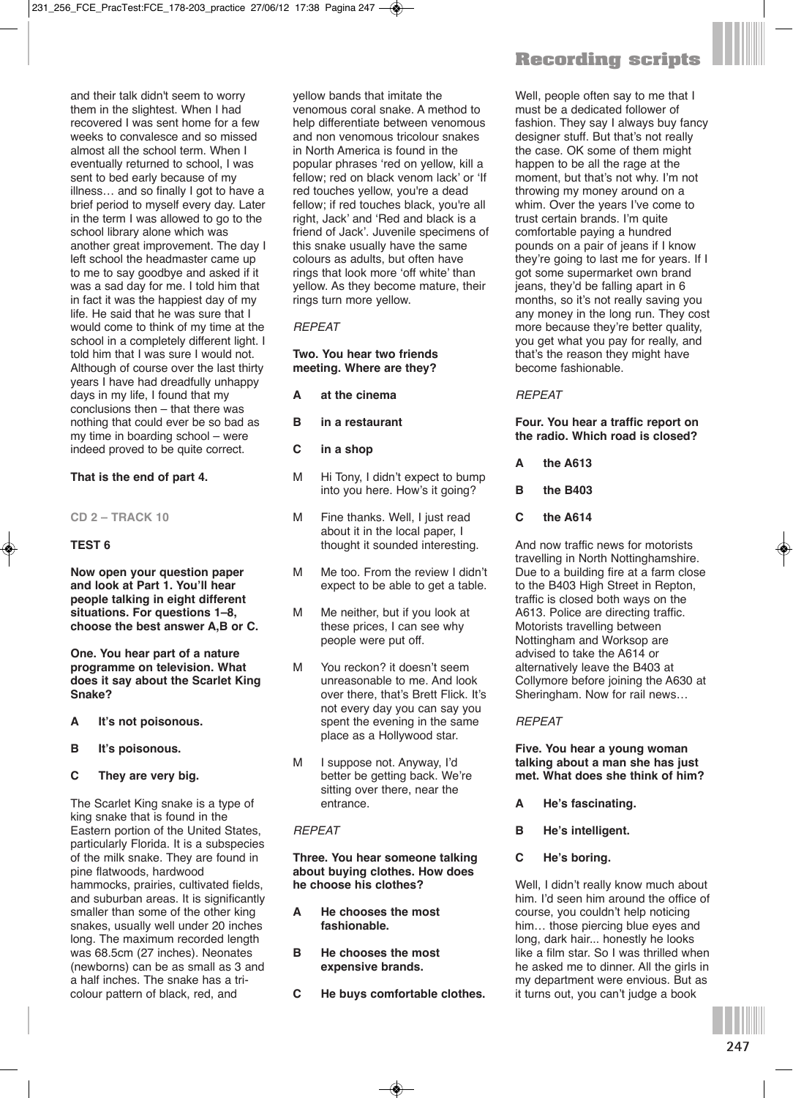and their talk didn't seem to worry them in the slightest. When I had recovered I was sent home for a few weeks to convalesce and so missed almost all the school term. When I eventually returned to school, I was sent to bed early because of my illness… and so finally I got to have a brief period to myself every day. Later in the term I was allowed to go to the school library alone which was another great improvement. The day I left school the headmaster came up to me to say goodbye and asked if it was a sad day for me. I told him that in fact it was the happiest day of my life. He said that he was sure that I would come to think of my time at the school in a completely different light. I told him that I was sure I would not. Although of course over the last thirty years I have had dreadfully unhappy days in my life, I found that my conclusions then – that there was nothing that could ever be so bad as my time in boarding school – were indeed proved to be quite correct.

# **That is the end of part 4.**

**CD 2 – TRACK 10**

# **TEST 6**

**Now open your question paper and look at Part 1. You'll hear people talking in eight different situations. For questions 1–8, choose the best answer A,B or C.**

**One. You hear part of a nature programme on television. What does it say about the Scarlet King Snake?**

- **A It's not poisonous.**
- **B It's poisonous.**

# **C They are very big.**

The Scarlet King snake is a type of king snake that is found in the Eastern portion of the United States, particularly Florida. It is a subspecies of the milk snake. They are found in pine flatwoods, hardwood hammocks, prairies, cultivated fields, and suburban areas. It is significantly smaller than some of the other king snakes, usually well under 20 inches long. The maximum recorded length was 68.5cm (27 inches). Neonates (newborns) can be as small as 3 and a half inches. The snake has a tricolour pattern of black, red, and

yellow bands that imitate the venomous coral snake. A method to help differentiate between venomous and non venomous tricolour snakes in North America is found in the popular phrases 'red on yellow, kill a fellow; red on black venom lack' or 'If red touches yellow, you're a dead fellow; if red touches black, you're all right, Jack' and 'Red and black is a friend of Jack'. Juvenile specimens of this snake usually have the same colours as adults, but often have rings that look more 'off white' than yellow. As they become mature, their rings turn more yellow.

# **REPEAT**

**Two. You hear two friends meeting. Where are they?**

- **A at the cinema**
- **B in a restaurant**
- **C in a shop**
- M Hi Tony, I didn't expect to bump into you here. How's it going?
- M Fine thanks. Well, I just read about it in the local paper, I thought it sounded interesting.
- M Me too. From the review I didn't expect to be able to get a table.
- M Me neither, but if you look at these prices, I can see why people were put off.
- M You reckon? it doesn't seem unreasonable to me. And look over there, that's Brett Flick. It's not every day you can say you spent the evening in the same place as a Hollywood star.
- M I suppose not. Anyway, I'd better be getting back. We're sitting over there, near the entrance.

# **REPEAT**

**Three. You hear someone talking about buying clothes. How does he choose his clothes?**

- **A He chooses the most fashionable.**
- **B He chooses the most expensive brands.**
- **C He buys comfortable clothes.**

Well, people often say to me that I must be a dedicated follower of fashion. They say I always buy fancy designer stuff. But that's not really the case. OK some of them might happen to be all the rage at the moment, but that's not why. I'm not throwing my money around on a whim. Over the years I've come to trust certain brands. I'm quite comfortable paying a hundred pounds on a pair of jeans if I know they're going to last me for years. If I got some supermarket own brand jeans, they'd be falling apart in 6 months, so it's not really saving you any money in the long run. They cost more because they're better quality, you get what you pay for really, and that's the reason they might have become fashionable.

**REPEAT** 

### **Four. You hear a traffic report on the radio. Which road is closed?**

- **A the A613**
- **B the B403**
- **C the A614**

And now traffic news for motorists travelling in North Nottinghamshire. Due to a building fire at a farm close to the B403 High Street in Repton, traffic is closed both ways on the A613. Police are directing traffic. Motorists travelling between Nottingham and Worksop are advised to take the A614 or alternatively leave the B403 at Collymore before joining the A630 at Sheringham. Now for rail news…

# **REPEAT**

**Five. You hear a young woman talking about a man she has just met. What does she think of him?**

- **A He's fascinating.**
- **B He's intelligent.**
- **C He's boring.**

Well, I didn't really know much about him. I'd seen him around the office of course, you couldn't help noticing him… those piercing blue eyes and long, dark hair... honestly he looks like a film star. So I was thrilled when he asked me to dinner. All the girls in my department were envious. But as it turns out, you can't judge a book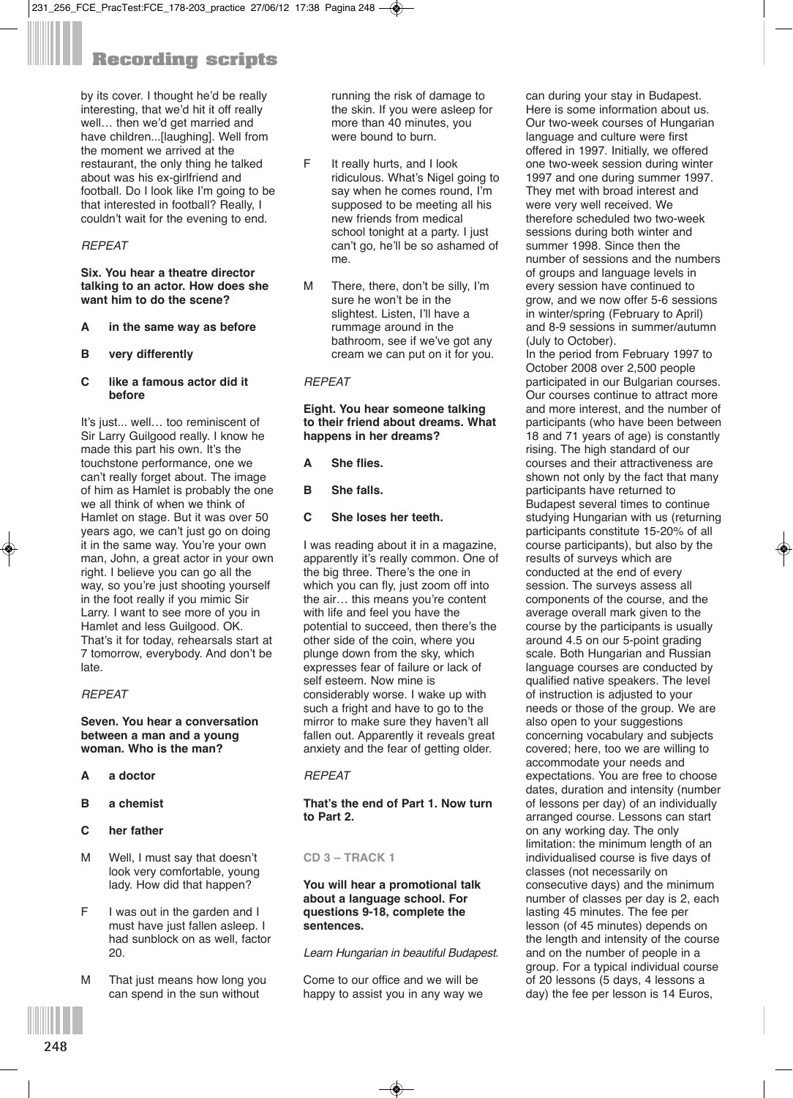by its cover. I thought he'd be really interesting, that we'd hit it off really well… then we'd get married and have children...[laughing]. Well from the moment we arrived at the restaurant, the only thing he talked about was his ex-girlfriend and football. Do I look like I'm going to be that interested in football? Really, I couldn't wait for the evening to end.

# **REPEAT**

**Six. You hear a theatre director talking to an actor. How does she want him to do the scene?**

- **A in the same way as before**
- **B very differently**

# **C like a famous actor did it before**

It's just... well… too reminiscent of Sir Larry Guilgood really. I know he made this part his own. It's the touchstone performance, one we can't really forget about. The image of him as Hamlet is probably the one we all think of when we think of Hamlet on stage. But it was over 50 years ago, we can't just go on doing it in the same way. You're your own man, John, a great actor in your own right. I believe you can go all the way, so you're just shooting yourself in the foot really if you mimic Sir Larry. I want to see more of you in Hamlet and less Guilgood. OK. That's it for today, rehearsals start at 7 tomorrow, everybody. And don't be late.

# **REPEAT**

# **Seven. You hear a conversation between a man and a young woman. Who is the man?**

- **A a doctor**
- **B a chemist**
- **C her father**
- M Well, I must say that doesn't look very comfortable, young lady. How did that happen?
- F I was out in the garden and I must have just fallen asleep. I had sunblock on as well, factor 20.
- M That just means how long you can spend in the sun without

running the risk of damage to the skin. If you were asleep for more than 40 minutes, you were bound to burn.

- F It really hurts, and I look ridiculous. What's Nigel going to say when he comes round, I'm supposed to be meeting all his new friends from medical school tonight at a party. I just can't go, he'll be so ashamed of me.
- M There, there, don't be silly, I'm sure he won't be in the slightest. Listen, I'll have a rummage around in the bathroom, see if we've got any cream we can put on it for you.

# **REPEAT**

### **Eight. You hear someone talking to their friend about dreams. What happens in her dreams?**

- **A She flies.**
- **B She falls.**
- **C She loses her teeth.**

I was reading about it in a magazine, apparently it's really common. One of the big three. There's the one in which you can fly, just zoom off into the air… this means you're content with life and feel you have the potential to succeed, then there's the other side of the coin, where you plunge down from the sky, which expresses fear of failure or lack of self esteem. Now mine is considerably worse. I wake up with such a fright and have to go to the mirror to make sure they haven't all fallen out. Apparently it reveals great anxiety and the fear of getting older.

# REPEAT

**That's the end of Part 1. Now turn to Part 2.**

# **CD 3 – TRACK 1**

**You will hear a promotional talk about a language school. For questions 9-18, complete the sentences.**

# Learn Hungarian in beautiful Budapest.

Come to our office and we will be happy to assist you in any way we

can during your stay in Budapest. Here is some information about us. Our two-week courses of Hungarian language and culture were first offered in 1997. Initially, we offered one two-week session during winter 1997 and one during summer 1997. They met with broad interest and were very well received. We therefore scheduled two two-week sessions during both winter and summer 1998. Since then the number of sessions and the numbers of groups and language levels in every session have continued to grow, and we now offer 5-6 sessions in winter/spring (February to April) and 8-9 sessions in summer/autumn (July to October).

In the period from February 1997 to October 2008 over 2,500 people participated in our Bulgarian courses. Our courses continue to attract more and more interest, and the number of participants (who have been between 18 and 71 years of age) is constantly rising. The high standard of our courses and their attractiveness are shown not only by the fact that many participants have returned to Budapest several times to continue studying Hungarian with us (returning participants constitute 15-20% of all course participants), but also by the results of surveys which are conducted at the end of every session. The surveys assess all components of the course, and the average overall mark given to the course by the participants is usually around 4.5 on our 5-point grading scale. Both Hungarian and Russian language courses are conducted by qualified native speakers. The level of instruction is adjusted to your needs or those of the group. We are also open to your suggestions concerning vocabulary and subjects covered; here, too we are willing to accommodate your needs and expectations. You are free to choose dates, duration and intensity (number of lessons per day) of an individually arranged course. Lessons can start on any working day. The only limitation: the minimum length of an individualised course is five days of classes (not necessarily on consecutive days) and the minimum number of classes per day is 2, each lasting 45 minutes. The fee per lesson (of 45 minutes) depends on the length and intensity of the course and on the number of people in a group. For a typical individual course of 20 lessons (5 days, 4 lessons a day) the fee per lesson is 14 Euros,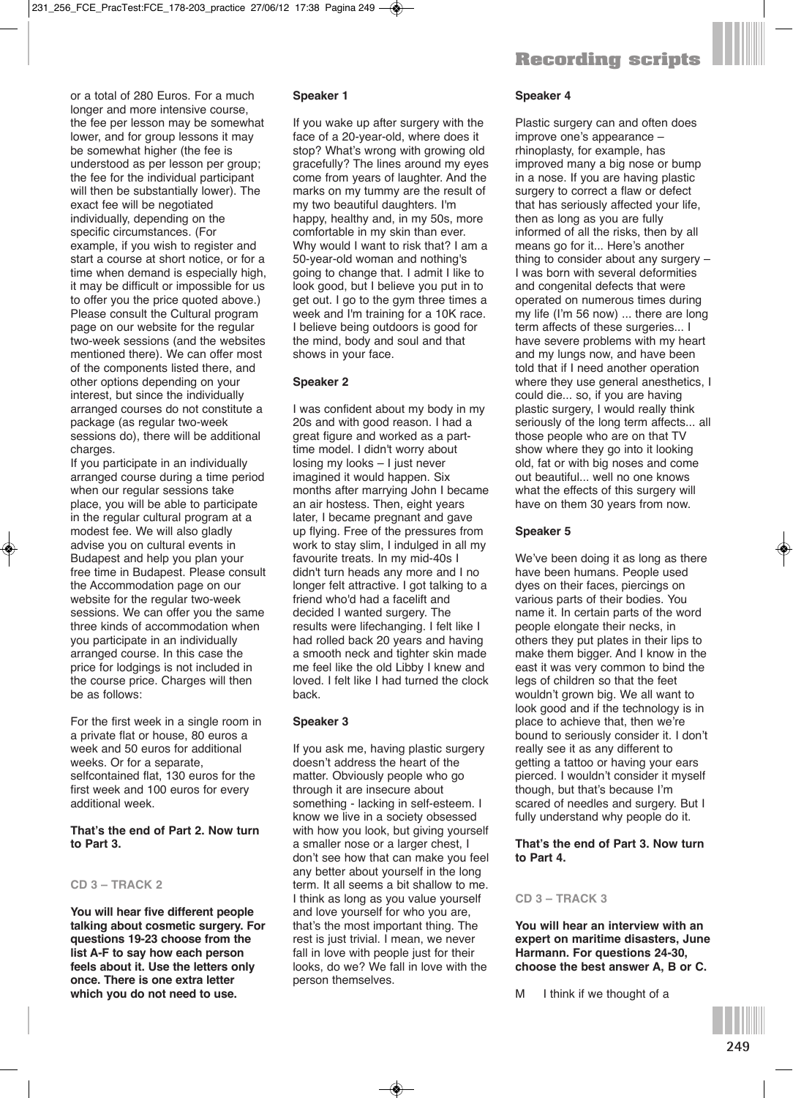or a total of 280 Euros. For a much longer and more intensive course, the fee per lesson may be somewhat lower, and for group lessons it may be somewhat higher (the fee is understood as per lesson per group; the fee for the individual participant will then be substantially lower). The exact fee will be negotiated individually, depending on the specific circumstances. (For example, if you wish to register and start a course at short notice, or for a time when demand is especially high, it may be difficult or impossible for us to offer you the price quoted above.) Please consult the Cultural program page on our website for the regular two-week sessions (and the websites mentioned there). We can offer most of the components listed there, and other options depending on your interest, but since the individually arranged courses do not constitute a package (as regular two-week sessions do), there will be additional charges.

If you participate in an individually arranged course during a time period when our regular sessions take place, you will be able to participate in the regular cultural program at a modest fee. We will also gladly advise you on cultural events in Budapest and help you plan your free time in Budapest. Please consult the Accommodation page on our website for the regular two-week sessions. We can offer you the same three kinds of accommodation when you participate in an individually arranged course. In this case the price for lodgings is not included in the course price. Charges will then be as follows:

For the first week in a single room in a private flat or house, 80 euros a week and 50 euros for additional weeks. Or for a separate, selfcontained flat, 130 euros for the first week and 100 euros for every additional week.

**That's the end of Part 2. Now turn to Part 3.**

# **CD 3 – TRACK 2**

**You will hear five different people talking about cosmetic surgery. For questions 19-23 choose from the list A-F to say how each person feels about it. Use the letters only once. There is one extra letter which you do not need to use.**

### **Speaker 1**

If you wake up after surgery with the face of a 20-year-old, where does it stop? What's wrong with growing old gracefully? The lines around my eyes come from years of laughter. And the marks on my tummy are the result of my two beautiful daughters. I'm happy, healthy and, in my 50s, more comfortable in my skin than ever. Why would I want to risk that? I am a 50-year-old woman and nothing's going to change that. I admit I like to look good, but I believe you put in to get out. I go to the gym three times a week and I'm training for a 10K race. I believe being outdoors is good for the mind, body and soul and that shows in your face.

# **Speaker 2**

I was confident about my body in my 20s and with good reason. I had a great figure and worked as a parttime model. I didn't worry about losing my looks – I just never imagined it would happen. Six months after marrying John I became an air hostess. Then, eight years later, I became pregnant and gave up flying. Free of the pressures from work to stay slim, I indulged in all my favourite treats. In my mid-40s I didn't turn heads any more and I no longer felt attractive. I got talking to a friend who'd had a facelift and decided I wanted surgery. The results were lifechanging. I felt like I had rolled back 20 years and having a smooth neck and tighter skin made me feel like the old Libby I knew and loved. I felt like I had turned the clock back.

# **Speaker 3**

If you ask me, having plastic surgery doesn't address the heart of the matter. Obviously people who go through it are insecure about something - lacking in self-esteem. I know we live in a society obsessed with how you look, but giving yourself a smaller nose or a larger chest, I don't see how that can make you feel any better about yourself in the long term. It all seems a bit shallow to me. I think as long as you value yourself and love yourself for who you are, that's the most important thing. The rest is just trivial. I mean, we never fall in love with people just for their looks, do we? We fall in love with the person themselves.

#### **Speaker 4**

Plastic surgery can and often does improve one's appearance – rhinoplasty, for example, has improved many a big nose or bump in a nose. If you are having plastic surgery to correct a flaw or defect that has seriously affected your life, then as long as you are fully informed of all the risks, then by all means go for it... Here's another thing to consider about any surgery – I was born with several deformities and congenital defects that were operated on numerous times during my life (I'm 56 now) ... there are long term affects of these surgeries... I have severe problems with my heart and my lungs now, and have been told that if I need another operation where they use general anesthetics, I could die... so, if you are having plastic surgery, I would really think seriously of the long term affects... all those people who are on that TV show where they go into it looking old, fat or with big noses and come out beautiful... well no one knows what the effects of this surgery will have on them 30 years from now.

# **Speaker 5**

We've been doing it as long as there have been humans. People used dyes on their faces, piercings on various parts of their bodies. You name it. In certain parts of the word people elongate their necks, in others they put plates in their lips to make them bigger. And I know in the east it was very common to bind the legs of children so that the feet wouldn't grown big. We all want to look good and if the technology is in place to achieve that, then we're bound to seriously consider it. I don't really see it as any different to getting a tattoo or having your ears pierced. I wouldn't consider it myself though, but that's because I'm scared of needles and surgery. But I fully understand why people do it.

# **That's the end of Part 3. Now turn to Part 4.**

# **CD 3 – TRACK 3**

**You will hear an interview with an expert on maritime disasters, June Harmann. For questions 24-30, choose the best answer A, B or C.**

M I think if we thought of a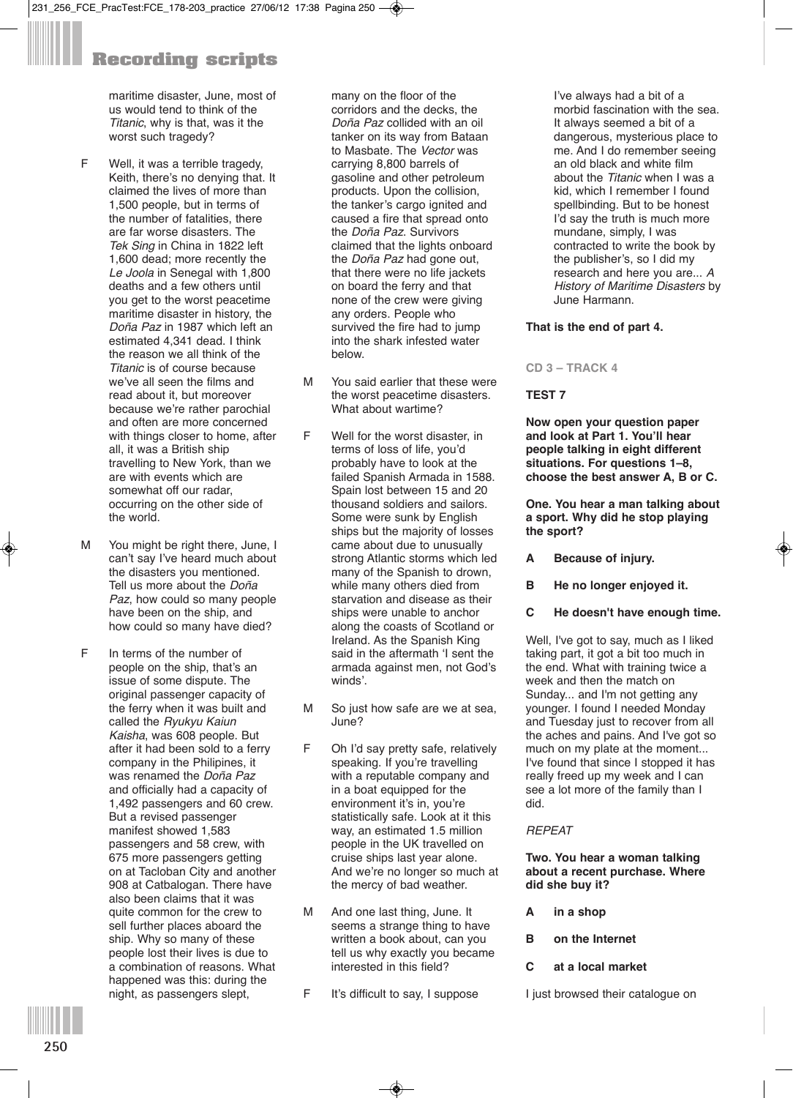maritime disaster, June, most of us would tend to think of the Titanic, why is that, was it the worst such tragedy?

- F Well, it was a terrible tragedy, Keith, there's no denying that. It claimed the lives of more than 1,500 people, but in terms of the number of fatalities, there are far worse disasters. The Tek Sing in China in 1822 left 1,600 dead; more recently the Le Joola in Senegal with 1,800 deaths and a few others until you get to the worst peacetime maritime disaster in history, the Doña Paz in 1987 which left an estimated 4,341 dead. I think the reason we all think of the Titanic is of course because we've all seen the films and read about it, but moreover because we're rather parochial and often are more concerned with things closer to home, after all, it was a British ship travelling to New York, than we are with events which are somewhat off our radar, occurring on the other side of the world.
- M You might be right there, June, I can't say I've heard much about the disasters you mentioned. Tell us more about the Doña Paz, how could so many people have been on the ship, and how could so many have died?
- F In terms of the number of people on the ship, that's an issue of some dispute. The original passenger capacity of the ferry when it was built and called the Ryukyu Kaiun Kaisha, was 608 people. But after it had been sold to a ferry company in the Philipines, it was renamed the Doña Paz and officially had a capacity of 1,492 passengers and 60 crew. But a revised passenger manifest showed 1,583 passengers and 58 crew, with 675 more passengers getting on at Tacloban City and another 908 at Catbalogan. There have also been claims that it was quite common for the crew to sell further places aboard the ship. Why so many of these people lost their lives is due to a combination of reasons. What happened was this: during the night, as passengers slept,

many on the floor of the corridors and the decks, the Doña Paz collided with an oil tanker on its way from Bataan to Masbate. The Vector was carrying 8,800 barrels of gasoline and other petroleum products. Upon the collision, the tanker's cargo ignited and caused a fire that spread onto the Doña Paz. Survivors claimed that the lights onboard the Doña Paz had gone out, that there were no life jackets on board the ferry and that none of the crew were giving any orders. People who survived the fire had to jump into the shark infested water below.

- M You said earlier that these were the worst peacetime disasters. What about wartime?
- F Well for the worst disaster, in terms of loss of life, you'd probably have to look at the failed Spanish Armada in 1588. Spain lost between 15 and 20 thousand soldiers and sailors. Some were sunk by English ships but the majority of losses came about due to unusually strong Atlantic storms which led many of the Spanish to drown, while many others died from starvation and disease as their ships were unable to anchor along the coasts of Scotland or Ireland. As the Spanish King said in the aftermath 'I sent the armada against men, not God's winds'.
- M So just how safe are we at sea, June?
- F Oh I'd say pretty safe, relatively speaking. If you're travelling with a reputable company and in a boat equipped for the environment it's in, you're statistically safe. Look at it this way, an estimated 1.5 million people in the UK travelled on cruise ships last year alone. And we're no longer so much at the mercy of bad weather.
- M And one last thing, June. It seems a strange thing to have written a book about, can you tell us why exactly you became interested in this field?
- F It's difficult to say, I suppose

I've always had a bit of a morbid fascination with the sea. It always seemed a bit of a dangerous, mysterious place to me. And I do remember seeing an old black and white film about the Titanic when I was a kid, which I remember I found spellbinding. But to be honest I'd say the truth is much more mundane, simply, I was contracted to write the book by the publisher's, so I did my research and here you are... A History of Maritime Disasters by June Harmann.

# **That is the end of part 4.**

# **CD 3 – TRACK 4**

# **TEST 7**

**Now open your question paper and look at Part 1. You'll hear people talking in eight different situations. For questions 1–8, choose the best answer A, B or C.**

**One. You hear a man talking about a sport. Why did he stop playing the sport?**

- **A Because of injury.**
- **B He no longer enjoyed it.**
- **C He doesn't have enough time.**

Well, I've got to say, much as I liked taking part, it got a bit too much in the end. What with training twice a week and then the match on Sunday... and I'm not getting any younger. I found I needed Monday and Tuesday just to recover from all the aches and pains. And I've got so much on my plate at the moment... I've found that since I stopped it has really freed up my week and I can see a lot more of the family than I did.

# **REPEAT**

**Two. You hear a woman talking about a recent purchase. Where did she buy it?**

- **A in a shop**
- **B on the Internet**
- **C at a local market**
- I just browsed their catalogue on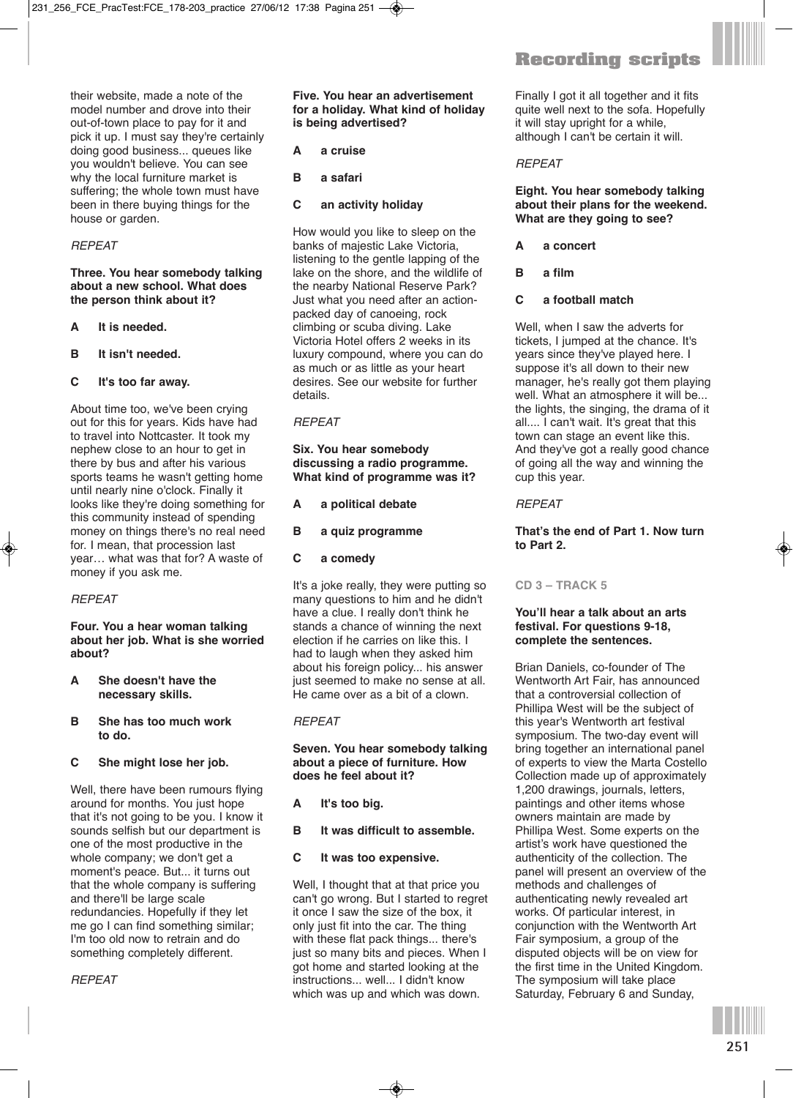their website, made a note of the model number and drove into their out-of-town place to pay for it and pick it up. I must say they're certainly doing good business... queues like you wouldn't believe. You can see why the local furniture market is suffering; the whole town must have been in there buying things for the house or garden.

# **REPEAT**

### **Three. You hear somebody talking about a new school. What does the person think about it?**

- **A It is needed.**
- **B It isn't needed.**
- **C It's too far away.**

About time too, we've been crying out for this for years. Kids have had to travel into Nottcaster. It took my nephew close to an hour to get in there by bus and after his various sports teams he wasn't getting home until nearly nine o'clock. Finally it looks like they're doing something for this community instead of spending money on things there's no real need for. I mean, that procession last year… what was that for? A waste of money if you ask me.

# REPEAT

**Four. You a hear woman talking about her job. What is she worried about?**

- **A She doesn't have the necessary skills.**
- **B She has too much work to do.**
- **C She might lose her job.**

Well, there have been rumours flying around for months. You just hope that it's not going to be you. I know it sounds selfish but our department is one of the most productive in the whole company; we don't get a moment's peace. But... it turns out that the whole company is suffering and there'll be large scale redundancies. Hopefully if they let me go I can find something similar; I'm too old now to retrain and do something completely different.

**REPEAT** 

**Five. You hear an advertisement for a holiday. What kind of holiday is being advertised?**

- **A a cruise**
- **B a safari**
- **C an activity holiday**

How would you like to sleep on the banks of majestic Lake Victoria, listening to the gentle lapping of the lake on the shore, and the wildlife of the nearby National Reserve Park? Just what you need after an actionpacked day of canoeing, rock climbing or scuba diving. Lake Victoria Hotel offers 2 weeks in its luxury compound, where you can do as much or as little as your heart desires. See our website for further details.

# **REPEAT**

**Six. You hear somebody discussing a radio programme. What kind of programme was it?**

- **A a political debate**
- **B a quiz programme**
- **C a comedy**

It's a joke really, they were putting so many questions to him and he didn't have a clue. I really don't think he stands a chance of winning the next election if he carries on like this. I had to laugh when they asked him about his foreign policy... his answer just seemed to make no sense at all. He came over as a bit of a clown.

# **REPEAT**

### **Seven. You hear somebody talking about a piece of furniture. How does he feel about it?**

- **A It's too big.**
- **B It was difficult to assemble.**
- **C It was too expensive.**

Well, I thought that at that price you can't go wrong. But I started to regret it once I saw the size of the box, it only just fit into the car. The thing with these flat pack things... there's just so many bits and pieces. When I got home and started looking at the instructions... well... I didn't know which was up and which was down.

Finally I got it all together and it fits quite well next to the sofa. Hopefully it will stay upright for a while, although I can't be certain it will.

# **REPEAT**

### **Eight. You hear somebody talking about their plans for the weekend. What are they going to see?**

- **A a concert**
- **B a film**
- **C a football match**

Well, when I saw the adverts for tickets, I jumped at the chance. It's years since they've played here. I suppose it's all down to their new manager, he's really got them playing well. What an atmosphere it will be... the lights, the singing, the drama of it all.... I can't wait. It's great that this town can stage an event like this. And they've got a really good chance of going all the way and winning the cup this year.

# **REPEAT**

# **That's the end of Part 1. Now turn to Part 2.**

# **CD 3 – TRACK 5**

### **You'll hear a talk about an arts festival. For questions 9-18, complete the sentences.**

Brian Daniels, co-founder of The Wentworth Art Fair, has announced that a controversial collection of Phillipa West will be the subject of this year's Wentworth art festival symposium. The two-day event will bring together an international panel of experts to view the Marta Costello Collection made up of approximately 1,200 drawings, journals, letters, paintings and other items whose owners maintain are made by Phillipa West. Some experts on the artist's work have questioned the authenticity of the collection. The panel will present an overview of the methods and challenges of authenticating newly revealed art works. Of particular interest, in conjunction with the Wentworth Art Fair symposium, a group of the disputed objects will be on view for the first time in the United Kingdom. The symposium will take place Saturday, February 6 and Sunday,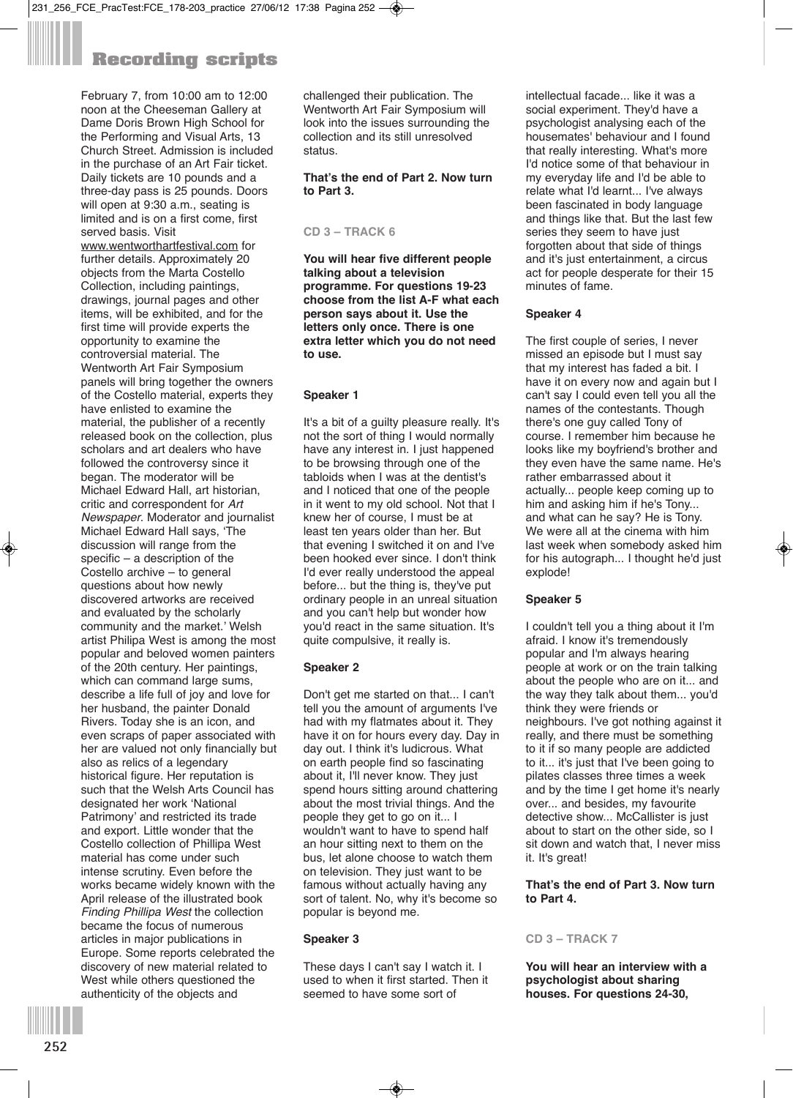February 7, from 10:00 am to 12:00 noon at the Cheeseman Gallery at Dame Doris Brown High School for the Performing and Visual Arts, 13 Church Street. Admission is included in the purchase of an Art Fair ticket. Daily tickets are 10 pounds and a three-day pass is 25 pounds. Doors will open at 9:30 a.m., seating is limited and is on a first come, first served basis. Visit www.wentworthartfestival.com for further details. Approximately 20 objects from the Marta Costello Collection, including paintings, drawings, journal pages and other items, will be exhibited, and for the first time will provide experts the opportunity to examine the controversial material. The Wentworth Art Fair Symposium panels will bring together the owners of the Costello material, experts they have enlisted to examine the material, the publisher of a recently released book on the collection, plus scholars and art dealers who have followed the controversy since it began. The moderator will be Michael Edward Hall, art historian, critic and correspondent for Art Newspaper. Moderator and journalist Michael Edward Hall says, 'The discussion will range from the specific – a description of the Costello archive – to general questions about how newly discovered artworks are received and evaluated by the scholarly community and the market.' Welsh artist Philipa West is among the most popular and beloved women painters of the 20th century. Her paintings, which can command large sums, describe a life full of joy and love for her husband, the painter Donald Rivers. Today she is an icon, and even scraps of paper associated with her are valued not only financially but also as relics of a legendary historical figure. Her reputation is such that the Welsh Arts Council has designated her work 'National Patrimony' and restricted its trade and export. Little wonder that the Costello collection of Phillipa West material has come under such intense scrutiny. Even before the works became widely known with the April release of the illustrated book Finding Phillipa West the collection became the focus of numerous articles in major publications in Europe. Some reports celebrated the discovery of new material related to West while others questioned the authenticity of the objects and

challenged their publication. The Wentworth Art Fair Symposium will look into the issues surrounding the collection and its still unresolved status.

**That's the end of Part 2. Now turn to Part 3.**

#### **CD 3 – TRACK 6**

**You will hear five different people talking about a television programme. For questions 19-23 choose from the list A-F what each person says about it. Use the letters only once. There is one extra letter which you do not need to use.**

#### **Speaker 1**

It's a bit of a guilty pleasure really. It's not the sort of thing I would normally have any interest in. I just happened to be browsing through one of the tabloids when I was at the dentist's and I noticed that one of the people in it went to my old school. Not that I knew her of course, I must be at least ten years older than her. But that evening I switched it on and I've been hooked ever since. I don't think I'd ever really understood the appeal before... but the thing is, they've put ordinary people in an unreal situation and you can't help but wonder how you'd react in the same situation. It's quite compulsive, it really is.

#### **Speaker 2**

Don't get me started on that... I can't tell you the amount of arguments I've had with my flatmates about it. They have it on for hours every day. Day in day out. I think it's ludicrous. What on earth people find so fascinating about it, I'll never know. They just spend hours sitting around chattering about the most trivial things. And the people they get to go on it... I wouldn't want to have to spend half an hour sitting next to them on the bus, let alone choose to watch them on television. They just want to be famous without actually having any sort of talent. No, why it's become so popular is beyond me.

#### **Speaker 3**

These days I can't say I watch it. I used to when it first started. Then it seemed to have some sort of

intellectual facade. like it was a social experiment. They'd have a psychologist analysing each of the housemates' behaviour and I found that really interesting. What's more I'd notice some of that behaviour in my everyday life and I'd be able to relate what I'd learnt... I've always been fascinated in body language and things like that. But the last few series they seem to have just forgotten about that side of things and it's just entertainment, a circus act for people desperate for their 15 minutes of fame.

#### **Speaker 4**

The first couple of series, I never missed an episode but I must say that my interest has faded a bit. I have it on every now and again but I can't say I could even tell you all the names of the contestants. Though there's one guy called Tony of course. I remember him because he looks like my boyfriend's brother and they even have the same name. He's rather embarrassed about it actually... people keep coming up to him and asking him if he's Tony... and what can he say? He is Tony. We were all at the cinema with him last week when somebody asked him for his autograph... I thought he'd just explode!

#### **Speaker 5**

I couldn't tell you a thing about it I'm afraid. I know it's tremendously popular and I'm always hearing people at work or on the train talking about the people who are on it... and the way they talk about them... you'd think they were friends or neighbours. I've got nothing against it really, and there must be something to it if so many people are addicted to it... it's just that I've been going to pilates classes three times a week and by the time I get home it's nearly over... and besides, my favourite detective show... McCallister is just about to start on the other side, so I sit down and watch that, I never miss it. It's great!

### **That's the end of Part 3. Now turn to Part 4.**

#### **CD 3 – TRACK 7**

**You will hear an interview with a psychologist about sharing houses. For questions 24-30,**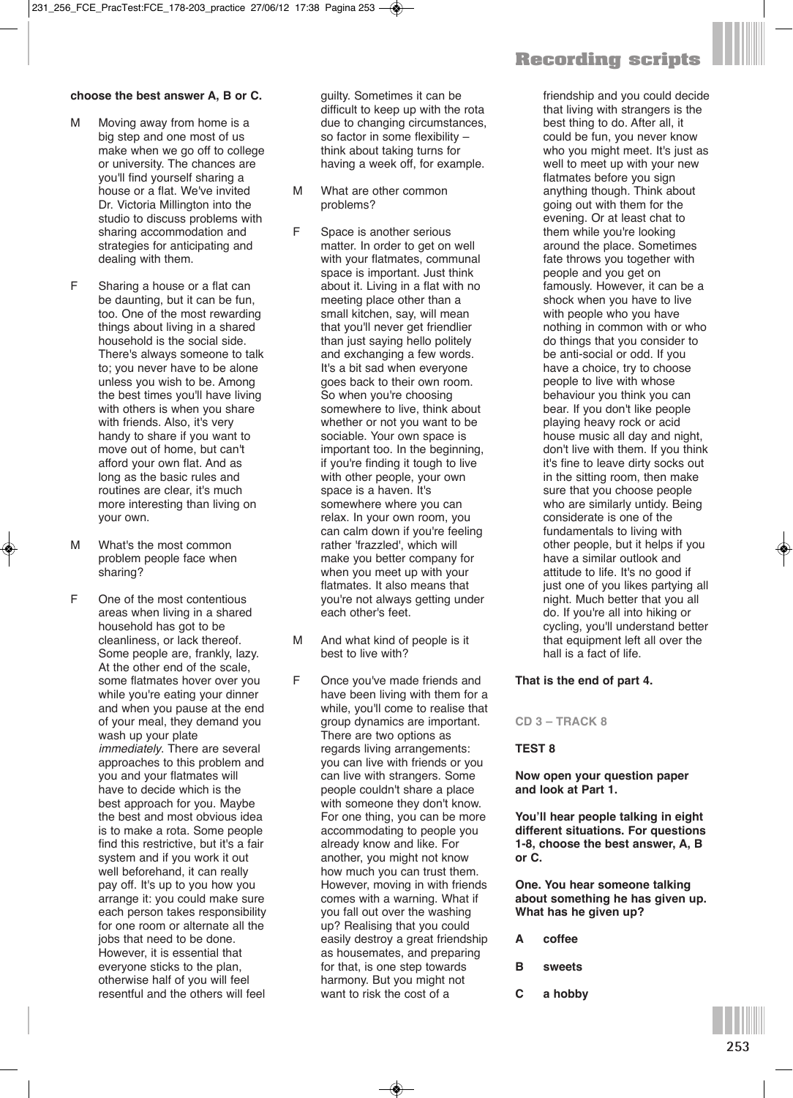# **choose the best answer A, B or C.**

- M Moving away from home is a big step and one most of us make when we go off to college or university. The chances are you'll find yourself sharing a house or a flat. We've invited Dr. Victoria Millington into the studio to discuss problems with sharing accommodation and strategies for anticipating and dealing with them.
- F Sharing a house or a flat can be daunting, but it can be fun, too. One of the most rewarding things about living in a shared household is the social side. There's always someone to talk to; you never have to be alone unless you wish to be. Among the best times you'll have living with others is when you share with friends. Also, it's very handy to share if you want to move out of home, but can't afford your own flat. And as long as the basic rules and routines are clear, it's much more interesting than living on your own.
- M What's the most common problem people face when sharing?
- F One of the most contentious areas when living in a shared household has got to be cleanliness, or lack thereof. Some people are, frankly, lazy. At the other end of the scale, some flatmates hover over you while you're eating your dinner and when you pause at the end of your meal, they demand you wash up your plate immediately. There are several approaches to this problem and you and your flatmates will have to decide which is the best approach for you. Maybe the best and most obvious idea is to make a rota. Some people find this restrictive, but it's a fair system and if you work it out well beforehand, it can really pay off. It's up to you how you arrange it: you could make sure each person takes responsibility for one room or alternate all the jobs that need to be done. However, it is essential that everyone sticks to the plan, otherwise half of you will feel resentful and the others will feel

guilty. Sometimes it can be difficult to keep up with the rota due to changing circumstances, so factor in some flexibility – think about taking turns for having a week off, for example.

- M What are other common problems?
- F Space is another serious matter. In order to get on well with your flatmates, communal space is important. Just think about it. Living in a flat with no meeting place other than a small kitchen, say, will mean that you'll never get friendlier than just saying hello politely and exchanging a few words. It's a bit sad when everyone goes back to their own room. So when you're choosing somewhere to live, think about whether or not you want to be sociable. Your own space is important too. In the beginning, if you're finding it tough to live with other people, your own space is a haven. It's somewhere where you can relax. In your own room, you can calm down if you're feeling rather 'frazzled', which will make you better company for when you meet up with your flatmates. It also means that you're not always getting under each other's feet.
- M And what kind of people is it best to live with?
- F Once you've made friends and have been living with them for a while, you'll come to realise that group dynamics are important. There are two options as regards living arrangements: you can live with friends or you can live with strangers. Some people couldn't share a place with someone they don't know. For one thing, you can be more accommodating to people you already know and like. For another, you might not know how much you can trust them. However, moving in with friends comes with a warning. What if you fall out over the washing up? Realising that you could easily destroy a great friendship as housemates, and preparing for that, is one step towards harmony. But you might not want to risk the cost of a

friendship and you could decide that living with strangers is the best thing to do. After all, it could be fun, you never know who you might meet. It's just as well to meet up with your new flatmates before you sign anything though. Think about going out with them for the evening. Or at least chat to them while you're looking around the place. Sometimes fate throws you together with people and you get on famously. However, it can be a shock when you have to live with people who you have nothing in common with or who do things that you consider to be anti-social or odd. If you have a choice, try to choose people to live with whose behaviour you think you can bear. If you don't like people playing heavy rock or acid house music all day and night, don't live with them. If you think it's fine to leave dirty socks out in the sitting room, then make sure that you choose people who are similarly untidy. Being considerate is one of the fundamentals to living with other people, but it helps if you have a similar outlook and attitude to life. It's no good if just one of you likes partying all night. Much better that you all do. If you're all into hiking or cycling, you'll understand better that equipment left all over the hall is a fact of life.

#### **That is the end of part 4.**

#### **CD 3 – TRACK 8**

#### **TEST 8**

### **Now open your question paper and look at Part 1.**

**You'll hear people talking in eight different situations. For questions 1-8, choose the best answer, A, B or C.**

**One. You hear someone talking about something he has given up. What has he given up?**

- **A coffee**
- **B sweets**
- **C a hobby**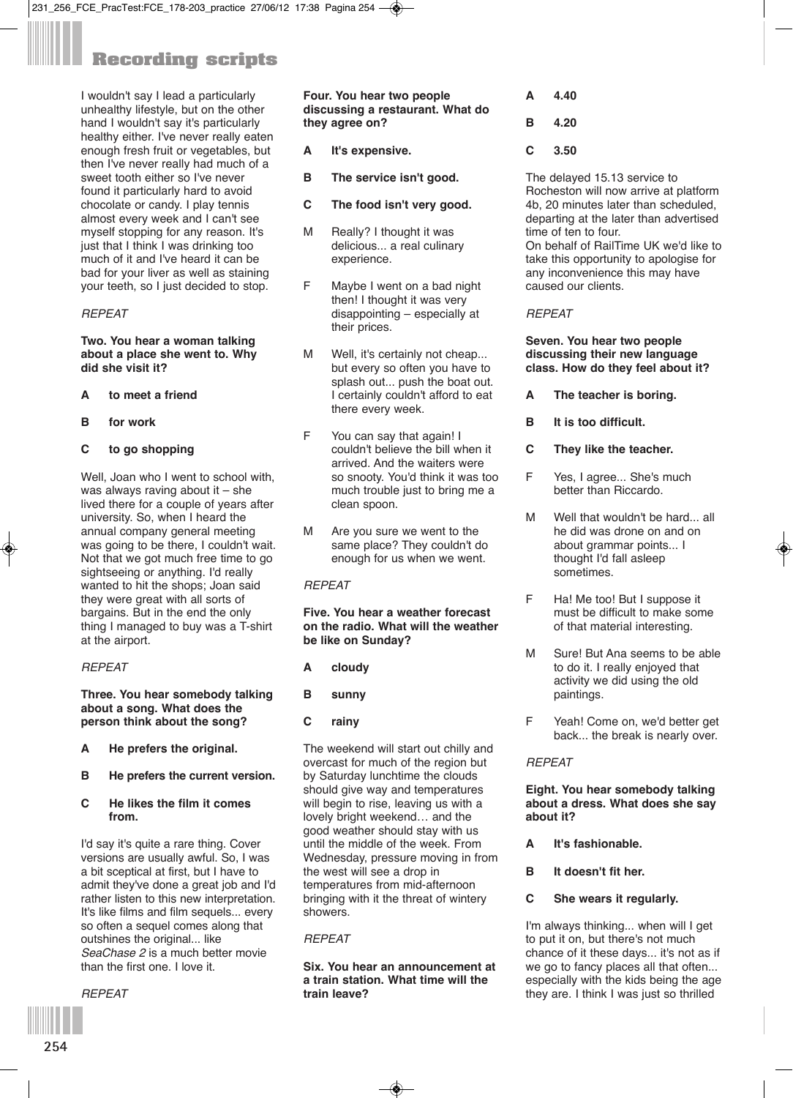I wouldn't say I lead a particularly unhealthy lifestyle, but on the other hand I wouldn't say it's particularly healthy either. I've never really eaten enough fresh fruit or vegetables, but then I've never really had much of a sweet tooth either so I've never found it particularly hard to avoid chocolate or candy. I play tennis almost every week and I can't see myself stopping for any reason. It's just that I think I was drinking too much of it and I've heard it can be bad for your liver as well as staining your teeth, so I just decided to stop.

# **REPEAT**

#### **Two. You hear a woman talking about a place she went to. Why did she visit it?**

# **A to meet a friend**

# **B for work**

# **C to go shopping**

Well, Joan who I went to school with, was always raving about it – she lived there for a couple of years after university. So, when I heard the annual company general meeting was going to be there, I couldn't wait. Not that we got much free time to go sightseeing or anything. I'd really wanted to hit the shops; Joan said they were great with all sorts of bargains. But in the end the only thing I managed to buy was a T-shirt at the airport.

# **REPEAT**

#### **Three. You hear somebody talking about a song. What does the person think about the song?**

- **A He prefers the original.**
- **B He prefers the current version.**

#### **C He likes the film it comes from.**

I'd say it's quite a rare thing. Cover versions are usually awful. So, I was a bit sceptical at first, but I have to admit they've done a great job and I'd rather listen to this new interpretation. It's like films and film sequels... every so often a sequel comes along that outshines the original... like SeaChase 2 is a much better movie than the first one. I love it.

**REPEAT** 

**Four. You hear two people discussing a restaurant. What do they agree on?**

- **A It's expensive.**
- **B The service isn't good.**
- **C The food isn't very good.**
- M Really? I thought it was delicious... a real culinary experience.
- F Maybe I went on a bad night then! I thought it was very disappointing – especially at their prices.
- M Well, it's certainly not cheap... but every so often you have to splash out... push the boat out. I certainly couldn't afford to eat there every week.
- F You can say that again! I couldn't believe the bill when it arrived. And the waiters were so snooty. You'd think it was too much trouble just to bring me a clean spoon.
- M Are you sure we went to the same place? They couldn't do enough for us when we went.

# **REPEAT**

### **Five. You hear a weather forecast on the radio. What will the weather be like on Sunday?**

- **A cloudy**
- **B sunny**
- **C rainy**

The weekend will start out chilly and overcast for much of the region but by Saturday lunchtime the clouds should give way and temperatures will begin to rise, leaving us with a lovely bright weekend… and the good weather should stay with us until the middle of the week. From Wednesday, pressure moving in from the west will see a drop in temperatures from mid-afternoon bringing with it the threat of wintery showers.

# **REPEAT**

**Six. You hear an announcement at a train station. What time will the train leave?**

**A 4.40 B 4.20 C 3.50**

The delayed 15.13 service to Rocheston will now arrive at platform 4b, 20 minutes later than scheduled, departing at the later than advertised time of ten to four. On behalf of RailTime UK we'd like to take this opportunity to apologise for any inconvenience this may have caused our clients.

# **REPEAT**

### **Seven. You hear two people discussing their new language class. How do they feel about it?**

- **A The teacher is boring.**
- **B It is too difficult.**
- **C They like the teacher.**
- F Yes, I agree... She's much better than Riccardo.
- M Well that wouldn't be hard... all he did was drone on and on about grammar points... I thought I'd fall asleep sometimes.
- F Ha! Me too! But I suppose it must be difficult to make some of that material interesting.
- M Sure! But Ana seems to be able to do it. I really enjoyed that activity we did using the old paintings.
- F Yeah! Come on, we'd better get back... the break is nearly over.

# **REPEAT**

# **Eight. You hear somebody talking about a dress. What does she say about it?**

- **A It's fashionable.**
- **B It doesn't fit her.**
- **C She wears it regularly.**

I'm always thinking... when will I get to put it on, but there's not much chance of it these days... it's not as if we go to fancy places all that often... especially with the kids being the age they are. I think I was just so thrilled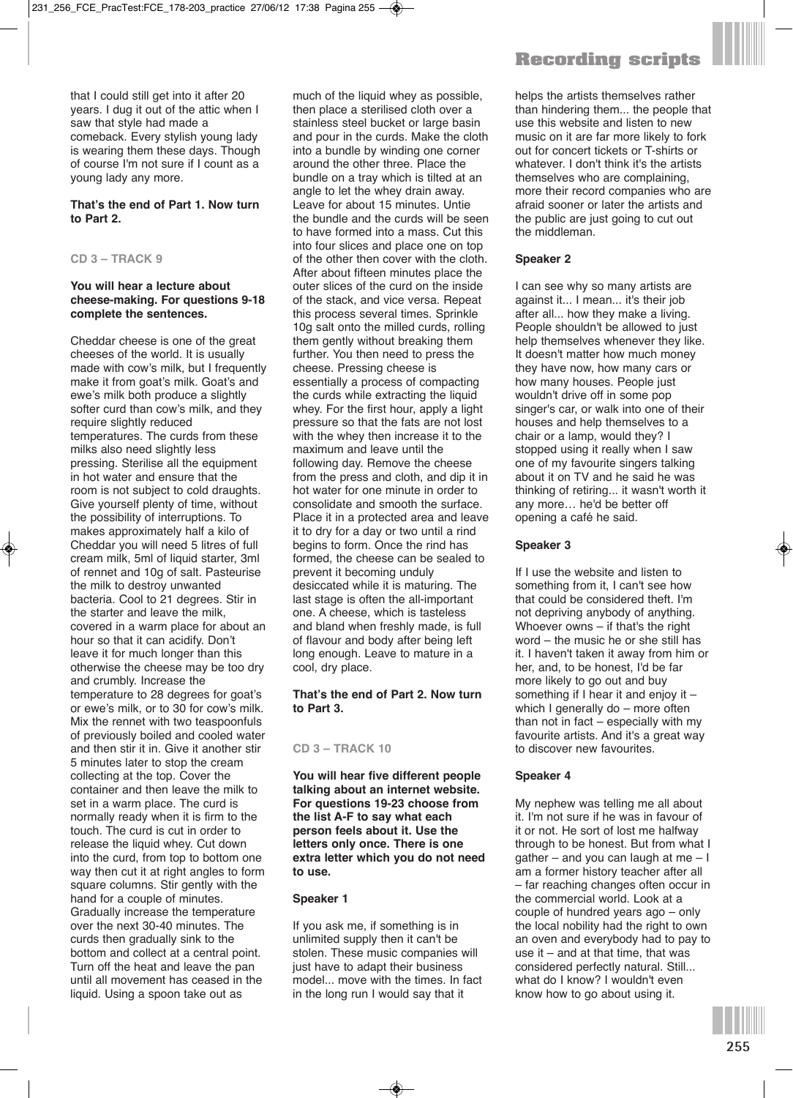that I could still get into it after 20 years. I dug it out of the attic when I saw that style had made a comeback. Every stylish young lady is wearing them these days. Though of course I'm not sure if I count as a young lady any more.

#### **That's the end of Part 1. Now turn to Part 2.**

#### **CD 3 – TRACK 9**

#### **You will hear a lecture about cheese-making. For questions 9-18 complete the sentences.**

Cheddar cheese is one of the great cheeses of the world. It is usually made with cow's milk, but I frequently make it from goat's milk. Goat's and ewe's milk both produce a slightly softer curd than cow's milk, and they require slightly reduced temperatures. The curds from these milks also need slightly less pressing. Sterilise all the equipment in hot water and ensure that the room is not subject to cold draughts. Give yourself plenty of time, without the possibility of interruptions. To makes approximately half a kilo of Cheddar you will need 5 litres of full cream milk, 5ml of liquid starter, 3ml of rennet and 10g of salt. Pasteurise the milk to destroy unwanted bacteria. Cool to 21 degrees. Stir in the starter and leave the milk, covered in a warm place for about an hour so that it can acidify. Don't leave it for much longer than this otherwise the cheese may be too dry and crumbly. Increase the temperature to 28 degrees for goat's or ewe's milk, or to 30 for cow's milk. Mix the rennet with two teaspoonfuls of previously boiled and cooled water and then stir it in. Give it another stir 5 minutes later to stop the cream collecting at the top. Cover the container and then leave the milk to set in a warm place. The curd is normally ready when it is firm to the touch. The curd is cut in order to release the liquid whey. Cut down into the curd, from top to bottom one way then cut it at right angles to form square columns. Stir gently with the hand for a couple of minutes. Gradually increase the temperature over the next 30-40 minutes. The curds then gradually sink to the bottom and collect at a central point. Turn off the heat and leave the pan until all movement has ceased in the liquid. Using a spoon take out as

much of the liquid whey as possible, then place a sterilised cloth over a stainless steel bucket or large basin and pour in the curds. Make the cloth into a bundle by winding one corner around the other three. Place the bundle on a tray which is tilted at an angle to let the whey drain away. Leave for about 15 minutes. Untie the bundle and the curds will be seen to have formed into a mass. Cut this into four slices and place one on top of the other then cover with the cloth. After about fifteen minutes place the outer slices of the curd on the inside of the stack, and vice versa. Repeat this process several times. Sprinkle 10g salt onto the milled curds, rolling them gently without breaking them further. You then need to press the cheese. Pressing cheese is essentially a process of compacting the curds while extracting the liquid whey. For the first hour, apply a light pressure so that the fats are not lost with the whey then increase it to the maximum and leave until the following day. Remove the cheese from the press and cloth, and dip it in hot water for one minute in order to consolidate and smooth the surface. Place it in a protected area and leave it to dry for a day or two until a rind begins to form. Once the rind has formed, the cheese can be sealed to prevent it becoming unduly desiccated while it is maturing. The last stage is often the all-important one. A cheese, which is tasteless and bland when freshly made, is full of flavour and body after being left long enough. Leave to mature in a cool, dry place.

### **That's the end of Part 2. Now turn to Part 3.**

#### **CD 3 – TRACK 10**

**You will hear five different people talking about an internet website. For questions 19-23 choose from the list A-F to say what each person feels about it. Use the letters only once. There is one extra letter which you do not need to use.**

#### **Speaker 1**

If you ask me, if something is in unlimited supply then it can't be stolen. These music companies will just have to adapt their business model... move with the times. In fact in the long run I would say that it

helps the artists themselves rather than hindering them... the people that use this website and listen to new music on it are far more likely to fork out for concert tickets or T-shirts or whatever. I don't think it's the artists themselves who are complaining, more their record companies who are afraid sooner or later the artists and the public are just going to cut out the middleman.

#### **Speaker 2**

I can see why so many artists are against it... I mean... it's their job after all... how they make a living. People shouldn't be allowed to just help themselves whenever they like. It doesn't matter how much money they have now, how many cars or how many houses. People just wouldn't drive off in some pop singer's car, or walk into one of their houses and help themselves to a chair or a lamp, would they? I stopped using it really when I saw one of my favourite singers talking about it on TV and he said he was thinking of retiring... it wasn't worth it any more… he'd be better off opening a café he said.

#### **Speaker 3**

If I use the website and listen to something from it, I can't see how that could be considered theft. I'm not depriving anybody of anything. Whoever owns – if that's the right word – the music he or she still has it. I haven't taken it away from him or her, and, to be honest, I'd be far more likely to go out and buy something if I hear it and enjoy it – which I generally do – more often than not in fact – especially with my favourite artists. And it's a great way to discover new favourites.

#### **Speaker 4**

My nephew was telling me all about it. I'm not sure if he was in favour of it or not. He sort of lost me halfway through to be honest. But from what I gather – and you can laugh at me –  $I$ am a former history teacher after all – far reaching changes often occur in the commercial world. Look at a couple of hundred years ago – only the local nobility had the right to own an oven and everybody had to pay to use it – and at that time, that was considered perfectly natural. Still... what do I know? I wouldn't even know how to go about using it.